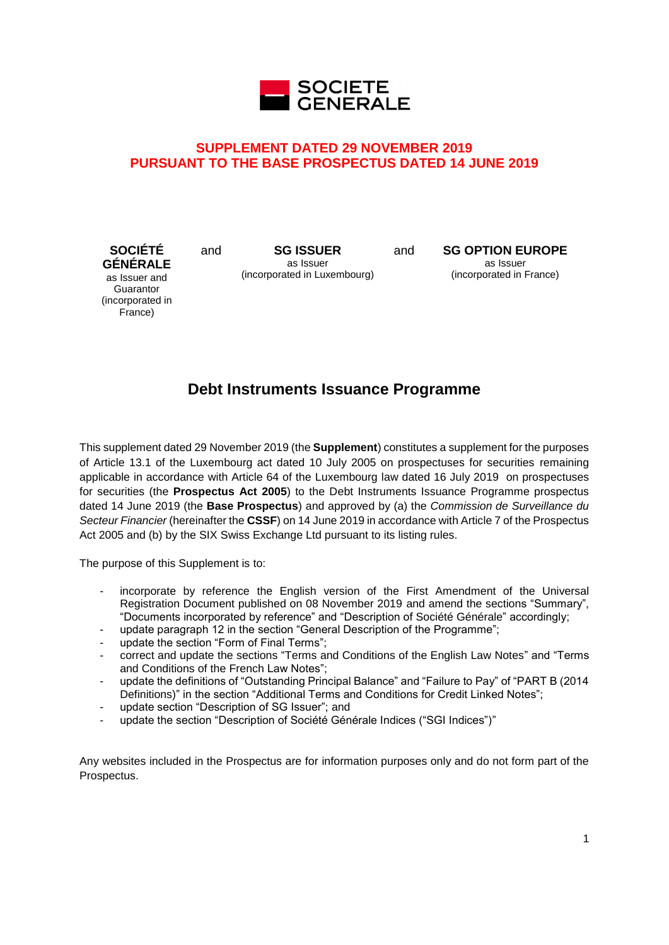

# **SUPPLEMENT DATED 29 NOVEMBER 2019 PURSUANT TO THE BASE PROSPECTUS DATED 14 JUNE 2019**

**SOCIÉTÉ GÉNÉRALE** as Issuer and **Guarantor** (incorporated in France)

and **SG ISSUER** as Issuer (incorporated in Luxembourg) and **SG OPTION EUROPE** as Issuer (incorporated in France)

# **Debt Instruments Issuance Programme**

This supplement dated 29 November 2019 (the **Supplement**) constitutes a supplement for the purposes of Article 13.1 of the Luxembourg act dated 10 July 2005 on prospectuses for securities remaining applicable in accordance with Article 64 of the Luxembourg law dated 16 July 2019 on prospectuses for securities (the **Prospectus Act 2005**) to the Debt Instruments Issuance Programme prospectus dated 14 June 2019 (the **Base Prospectus**) and approved by (a) the *Commission de Surveillance du Secteur Financier* (hereinafter the **CSSF**) on 14 June 2019 in accordance with Article 7 of the Prospectus Act 2005 and (b) by the SIX Swiss Exchange Ltd pursuant to its listing rules.

The purpose of this Supplement is to:

- incorporate by reference the English version of the First Amendment of the Universal Registration Document published on 08 November 2019 and amend the sections "Summary", "Documents incorporated by reference" and "Description of Société Générale" accordingly;
- update paragraph 12 in the section "General Description of the Programme";
- update the section "Form of Final Terms";
- correct and update the sections "Terms and Conditions of the English Law Notes" and "Terms and Conditions of the French Law Notes";
- update the definitions of "Outstanding Principal Balance" and "Failure to Pay" of "PART B (2014 Definitions)" in the section "Additional Terms and Conditions for Credit Linked Notes";
- update section "Description of SG Issuer"; and
- update the section "Description of Société Générale Indices ("SGI Indices")"

Any websites included in the Prospectus are for information purposes only and do not form part of the Prospectus.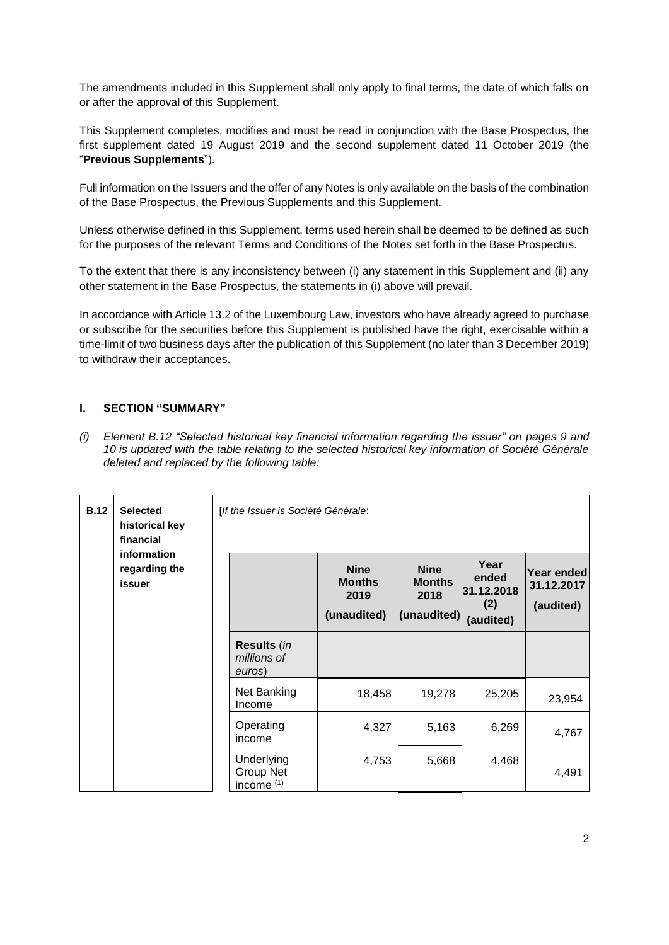The amendments included in this Supplement shall only apply to final terms, the date of which falls on or after the approval of this Supplement.

This Supplement completes, modifies and must be read in conjunction with the Base Prospectus, the first supplement dated 19 August 2019 and the second supplement dated 11 October 2019 (the "**Previous Supplements**").

Full information on the Issuers and the offer of any Notes is only available on the basis of the combination of the Base Prospectus, the Previous Supplements and this Supplement.

Unless otherwise defined in this Supplement, terms used herein shall be deemed to be defined as such for the purposes of the relevant Terms and Conditions of the Notes set forth in the Base Prospectus.

To the extent that there is any inconsistency between (i) any statement in this Supplement and (ii) any other statement in the Base Prospectus, the statements in (i) above will prevail.

In accordance with Article 13.2 of the Luxembourg Law, investors who have already agreed to purchase or subscribe for the securities before this Supplement is published have the right, exercisable within a time-limit of two business days after the publication of this Supplement (no later than 3 December 2019) to withdraw their acceptances.

# **I. SECTION "SUMMARY"**

*(i) Element B.12 "Selected historical key financial information regarding the issuer" on pages 9 and 10 is updated with the table relating to the selected historical key information of Société Générale deleted and replaced by the following table:* 

| <b>B.12</b> | <b>Selected</b><br>historical key<br>financial<br>information<br>regarding the<br><b>issuer</b> | [If the Issuer is Société Générale:                     |                                                     |                                                     |                                                 |                                       |
|-------------|-------------------------------------------------------------------------------------------------|---------------------------------------------------------|-----------------------------------------------------|-----------------------------------------------------|-------------------------------------------------|---------------------------------------|
|             |                                                                                                 |                                                         | <b>Nine</b><br><b>Months</b><br>2019<br>(unaudited) | <b>Nine</b><br><b>Months</b><br>2018<br>(unaudited) | Year<br>ended<br>31.12.2018<br>(2)<br>(audited) | Year ended<br>31.12.2017<br>(audited) |
|             |                                                                                                 | Results (in<br>millions of<br>euros)                    |                                                     |                                                     |                                                 |                                       |
|             |                                                                                                 | Net Banking<br>Income                                   | 18,458                                              | 19,278                                              | 25,205                                          | 23,954                                |
|             |                                                                                                 | Operating<br>income                                     | 4,327                                               | 5,163                                               | 6,269                                           | 4,767                                 |
|             |                                                                                                 | Underlying<br><b>Group Net</b><br>income <sup>(1)</sup> | 4,753                                               | 5,668                                               | 4,468                                           | 4,491                                 |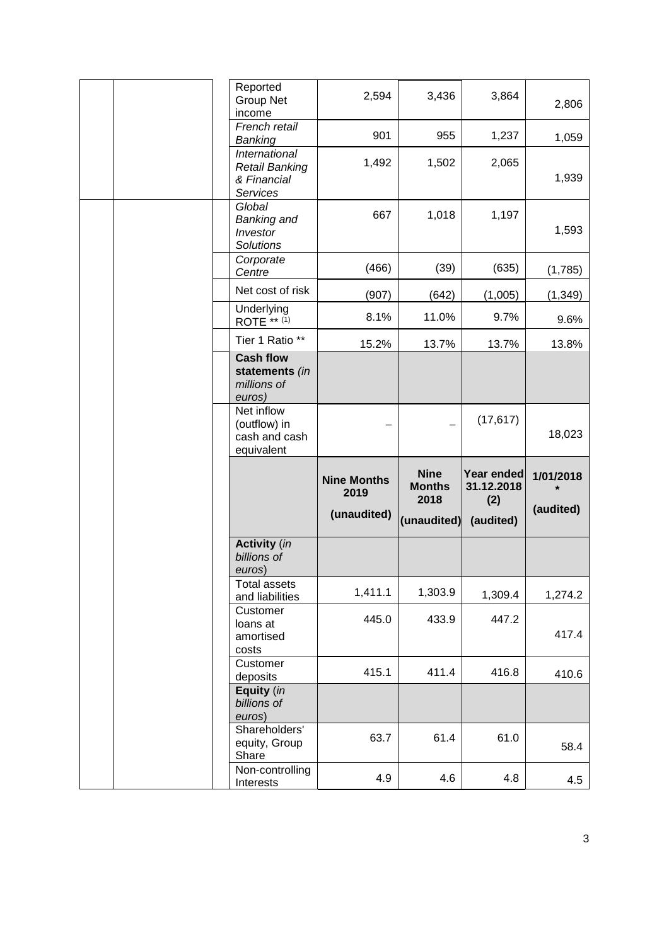|  |                            | Reported<br><b>Group Net</b><br>income                            | 2,594                      | 3,436                                | 3,864                           | 2,806     |
|--|----------------------------|-------------------------------------------------------------------|----------------------------|--------------------------------------|---------------------------------|-----------|
|  |                            | French retail<br>Banking                                          | 901                        | 955                                  | 1,237                           | 1,059     |
|  |                            | International<br><b>Retail Banking</b><br>& Financial<br>Services | 1,492                      | 1,502                                | 2,065                           | 1,939     |
|  |                            | Global<br>Banking and<br>Investor<br><b>Solutions</b>             | 667                        | 1,018                                | 1,197                           | 1,593     |
|  |                            | Corporate<br>Centre                                               | (466)                      | (39)                                 | (635)                           | (1,785)   |
|  |                            | Net cost of risk                                                  | (907)                      | (642)                                | (1,005)                         | (1, 349)  |
|  |                            | Underlying<br>ROTE ** (1)                                         | 8.1%                       | 11.0%                                | 9.7%                            | 9.6%      |
|  |                            | Tier 1 Ratio **                                                   | 15.2%                      | 13.7%                                | 13.7%                           | 13.8%     |
|  |                            | <b>Cash flow</b><br>statements (in<br>millions of<br>euros)       |                            |                                      |                                 |           |
|  | Net inflow<br>(outflow) in |                                                                   |                            | (17, 617)                            |                                 |           |
|  |                            | cash and cash<br>equivalent                                       |                            |                                      |                                 | 18,023    |
|  |                            |                                                                   | <b>Nine Months</b><br>2019 | <b>Nine</b><br><b>Months</b><br>2018 | Year ended<br>31.12.2018<br>(2) | 1/01/2018 |
|  |                            |                                                                   | (unaudited)                | (unaudited)                          | (audited)                       | (audited) |
|  |                            | <b>Activity</b> (in<br>billions of<br>euros)                      |                            |                                      |                                 |           |
|  |                            | Total assets<br>and liabilities                                   | 1,411.1                    | 1,303.9                              | 1,309.4                         | 1,274.2   |
|  |                            | Customer<br>loans at<br>amortised<br>costs                        | 445.0                      | 433.9                                | 447.2                           | 417.4     |
|  |                            | Customer<br>deposits                                              | 415.1                      | 411.4                                | 416.8                           | 410.6     |
|  |                            | Equity (in<br>billions of<br>euros)                               |                            |                                      |                                 |           |
|  |                            | Shareholders'<br>equity, Group<br>Share<br>Non-controlling        | 63.7                       | 61.4                                 | 61.0                            | 58.4      |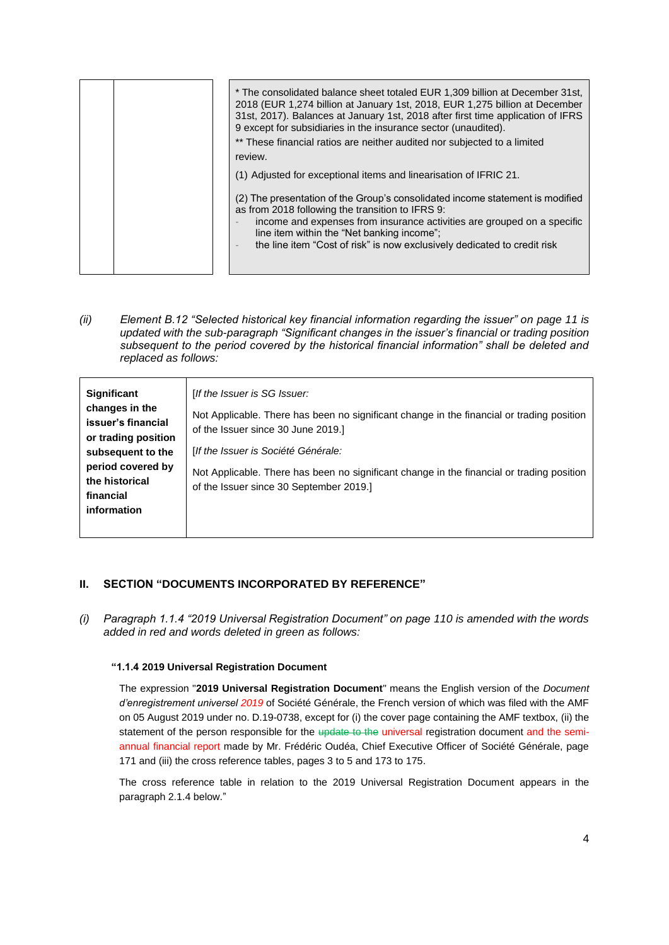| * The consolidated balance sheet totaled EUR 1,309 billion at December 31st,<br>2018 (EUR 1,274 billion at January 1st, 2018, EUR 1,275 billion at December<br>31st, 2017). Balances at January 1st, 2018 after first time application of IFRS<br>9 except for subsidiaries in the insurance sector (unaudited).<br>** These financial ratios are neither audited nor subjected to a limited<br>review. |
|---------------------------------------------------------------------------------------------------------------------------------------------------------------------------------------------------------------------------------------------------------------------------------------------------------------------------------------------------------------------------------------------------------|
|                                                                                                                                                                                                                                                                                                                                                                                                         |
| (1) Adjusted for exceptional items and linearisation of IFRIC 21.                                                                                                                                                                                                                                                                                                                                       |
| (2) The presentation of the Group's consolidated income statement is modified<br>as from 2018 following the transition to IFRS 9:<br>income and expenses from insurance activities are grouped on a specific<br>line item within the "Net banking income";<br>the line item "Cost of risk" is now exclusively dedicated to credit risk                                                                  |

*(ii) Element B.12 "Selected historical key financial information regarding the issuer" on page 11 is updated with the sub-paragraph "Significant changes in the issuer's financial or trading position subsequent to the period covered by the historical financial information" shall be deleted and replaced as follows:* 

# **II. SECTION "DOCUMENTS INCORPORATED BY REFERENCE"**

*(i) Paragraph 1.1.4 "2019 Universal Registration Document" on page 110 is amended with the words added in red and words deleted in green as follows:*

## **"1.1.4 2019 Universal Registration Document**

The expression "**2019 Universal Registration Document**" means the English version of the *Document d'enregistrement universel 2019* of Société Générale, the French version of which was filed with the AMF on 05 August 2019 under no. D.19-0738, except for (i) the cover page containing the AMF textbox, (ii) the statement of the person responsible for the update to the universal registration document and the semiannual financial report made by Mr. Frédéric Oudéa, Chief Executive Officer of Société Générale, page 171 and (iii) the cross reference tables, pages 3 to 5 and 173 to 175.

The cross reference table in relation to the 2019 Universal Registration Document appears in the paragraph 2.1.4 below."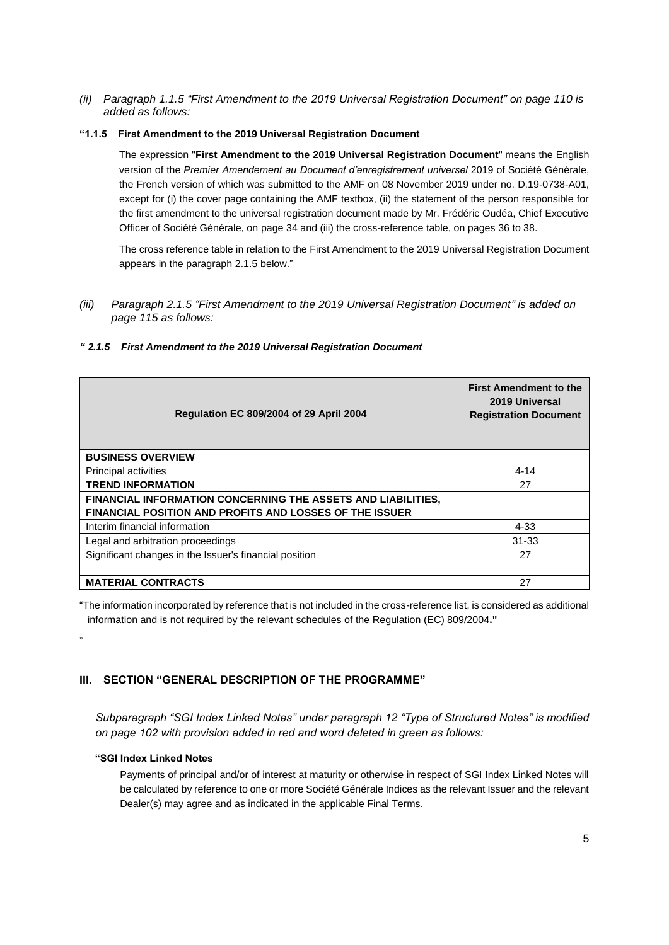*(ii) Paragraph 1.1.5 "First Amendment to the 2019 Universal Registration Document" on page 110 is added as follows:*

## **"1.1.5 First Amendment to the 2019 Universal Registration Document**

The expression "**First Amendment to the 2019 Universal Registration Document**" means the English version of the *Premier Amendement au Document d'enregistrement universel* 2019 of Société Générale, the French version of which was submitted to the AMF on 08 November 2019 under no. D.19-0738-A01, except for (i) the cover page containing the AMF textbox, (ii) the statement of the person responsible for the first amendment to the universal registration document made by Mr. Frédéric Oudéa, Chief Executive Officer of Société Générale, on page 34 and (iii) the cross-reference table, on pages 36 to 38.

The cross reference table in relation to the First Amendment to the 2019 Universal Registration Document appears in the paragraph 2.1.5 below."

*(iii) Paragraph 2.1.5 "First Amendment to the 2019 Universal Registration Document" is added on page 115 as follows:*

| <b>Regulation EC 809/2004 of 29 April 2004</b>                                                                                 | <b>First Amendment to the</b><br>2019 Universal<br><b>Registration Document</b> |
|--------------------------------------------------------------------------------------------------------------------------------|---------------------------------------------------------------------------------|
| <b>BUSINESS OVERVIEW</b>                                                                                                       |                                                                                 |
| <b>Principal activities</b>                                                                                                    | $4 - 14$                                                                        |
| <b>TREND INFORMATION</b>                                                                                                       | 27                                                                              |
| FINANCIAL INFORMATION CONCERNING THE ASSETS AND LIABILITIES,<br><b>FINANCIAL POSITION AND PROFITS AND LOSSES OF THE ISSUER</b> |                                                                                 |
| Interim financial information                                                                                                  | 4-33                                                                            |
| Legal and arbitration proceedings                                                                                              | $31 - 33$                                                                       |
| Significant changes in the Issuer's financial position                                                                         | 27                                                                              |
| <b>MATERIAL CONTRACTS</b>                                                                                                      | 27                                                                              |

#### *" 2.1.5 First Amendment to the 2019 Universal Registration Document*

"The information incorporated by reference that is not included in the cross-reference list, is considered as additional information and is not required by the relevant schedules of the Regulation (EC) 809/2004**."**

**III. SECTION "GENERAL DESCRIPTION OF THE PROGRAMME"**

*Subparagraph "SGI Index Linked Notes" under paragraph 12 "Type of Structured Notes" is modified on page 102 with provision added in red and word deleted in green as follows:*

## **"SGI Index Linked Notes**

"

Payments of principal and/or of interest at maturity or otherwise in respect of SGI Index Linked Notes will be calculated by reference to one or more Société Générale Indices as the relevant Issuer and the relevant Dealer(s) may agree and as indicated in the applicable Final Terms.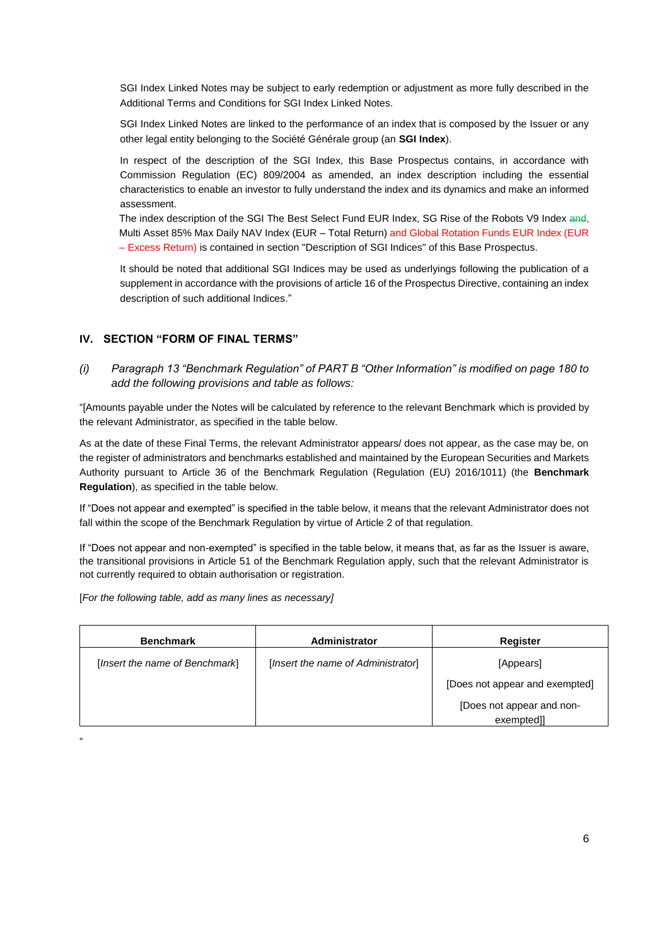SGI Index Linked Notes may be subject to early redemption or adjustment as more fully described in the Additional Terms and Conditions for SGI Index Linked Notes.

SGI Index Linked Notes are linked to the performance of an index that is composed by the Issuer or any other legal entity belonging to the Société Générale group (an **SGI Index**).

In respect of the description of the SGI Index, this Base Prospectus contains, in accordance with Commission Regulation (EC) 809/2004 as amended, an index description including the essential characteristics to enable an investor to fully understand the index and its dynamics and make an informed assessment.

The index description of the SGI The Best Select Fund EUR Index, SG Rise of the Robots V9 Index and, Multi Asset 85% Max Daily NAV Index (EUR – Total Return) and Global Rotation Funds EUR Index (EUR – Excess Return) is contained in section "Description of SGI Indices" of this Base Prospectus.

It should be noted that additional SGI Indices may be used as underlyings following the publication of a supplement in accordance with the provisions of article 16 of the Prospectus Directive, containing an index description of such additional Indices."

## **IV. SECTION "FORM OF FINAL TERMS"**

*(i) Paragraph 13 "Benchmark Regulation" of PART B "Other Information" is modified on page 180 to add the following provisions and table as follows:*

"[Amounts payable under the Notes will be calculated by reference to the relevant Benchmark which is provided by the relevant Administrator, as specified in the table below.

As at the date of these Final Terms, the relevant Administrator appears/ does not appear, as the case may be, on the register of administrators and benchmarks established and maintained by the European Securities and Markets Authority pursuant to Article 36 of the Benchmark Regulation (Regulation (EU) 2016/1011) (the **Benchmark Regulation**), as specified in the table below.

If "Does not appear and exempted" is specified in the table below, it means that the relevant Administrator does not fall within the scope of the Benchmark Regulation by virtue of Article 2 of that regulation.

If "Does not appear and non-exempted" is specified in the table below, it means that, as far as the Issuer is aware, the transitional provisions in Article 51 of the Benchmark Regulation apply, such that the relevant Administrator is not currently required to obtain authorisation or registration.

[*For the following table, add as many lines as necessary]*

| <b>Benchmark</b>               | Administrator                      | <b>Register</b>                         |
|--------------------------------|------------------------------------|-----------------------------------------|
| [Insert the name of Benchmark] | [Insert the name of Administrator] | [Appears]                               |
|                                |                                    | [Does not appear and exempted]          |
|                                |                                    | [Does not appear and non-<br>exempted]] |

"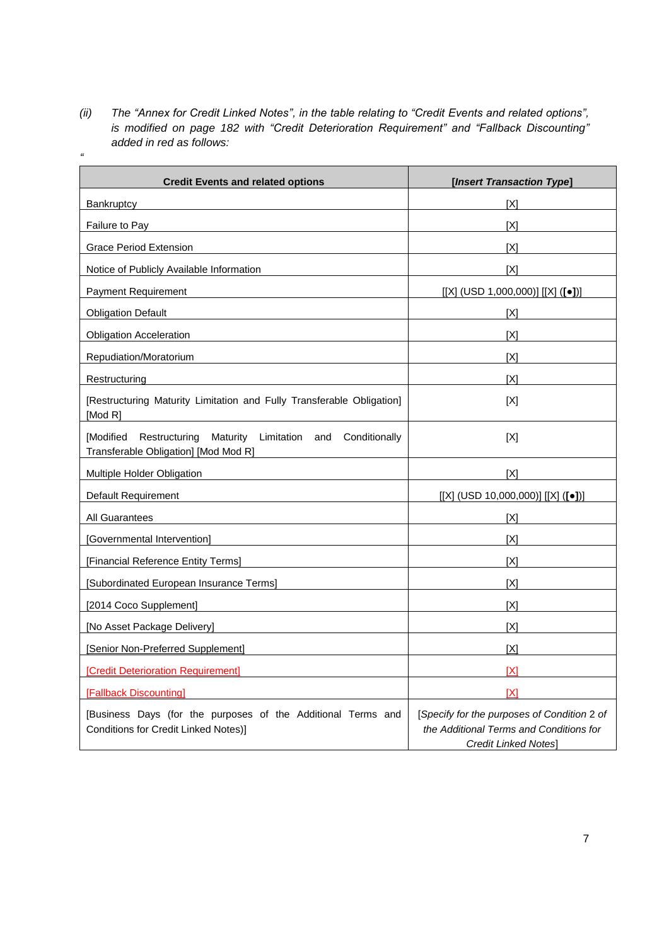*(ii) The "Annex for Credit Linked Notes", in the table relating to "Credit Events and related options", is modified on page 182 with "Credit Deterioration Requirement" and "Fallback Discounting" added in red as follows: "*

| <b>Credit Events and related options</b>                                                                    | [Insert Transaction Type]                                                                                      |
|-------------------------------------------------------------------------------------------------------------|----------------------------------------------------------------------------------------------------------------|
| Bankruptcy                                                                                                  | [X]                                                                                                            |
| Failure to Pay                                                                                              | [X]                                                                                                            |
| <b>Grace Period Extension</b>                                                                               | [X]                                                                                                            |
| Notice of Publicly Available Information                                                                    | [X]                                                                                                            |
| <b>Payment Requirement</b>                                                                                  | [[X] (USD 1,000,000)][X] ([•]])                                                                                |
| <b>Obligation Default</b>                                                                                   | [X]                                                                                                            |
| <b>Obligation Acceleration</b>                                                                              | [X]                                                                                                            |
| Repudiation/Moratorium                                                                                      | [X]                                                                                                            |
| Restructuring                                                                                               | [X]                                                                                                            |
| [Restructuring Maturity Limitation and Fully Transferable Obligation]<br>[Mod R]                            | [X]                                                                                                            |
| [Modified Restructuring Maturity Limitation and Conditionally<br>Transferable Obligation] [Mod Mod R]       | [X]                                                                                                            |
| Multiple Holder Obligation                                                                                  | [X]                                                                                                            |
| <b>Default Requirement</b>                                                                                  | [[X] (USD 10,000,000)][X] ([•])]                                                                               |
| All Guarantees                                                                                              | [X]                                                                                                            |
| [Governmental Intervention]                                                                                 | [X]                                                                                                            |
| [Financial Reference Entity Terms]                                                                          | [X]                                                                                                            |
| [Subordinated European Insurance Terms]                                                                     | [X]                                                                                                            |
| [2014 Coco Supplement]                                                                                      | [X]                                                                                                            |
| [No Asset Package Delivery]                                                                                 | [X]                                                                                                            |
| [Senior Non-Preferred Supplement]                                                                           | [X]                                                                                                            |
| [Credit Deterioration Requirement]                                                                          | [X]                                                                                                            |
| <b>[Fallback Discounting]</b>                                                                               | [X]                                                                                                            |
| [Business Days (for the purposes of the Additional Terms and<br><b>Conditions for Credit Linked Notes)]</b> | [Specify for the purposes of Condition 2 of<br>the Additional Terms and Conditions for<br>Credit Linked Notes] |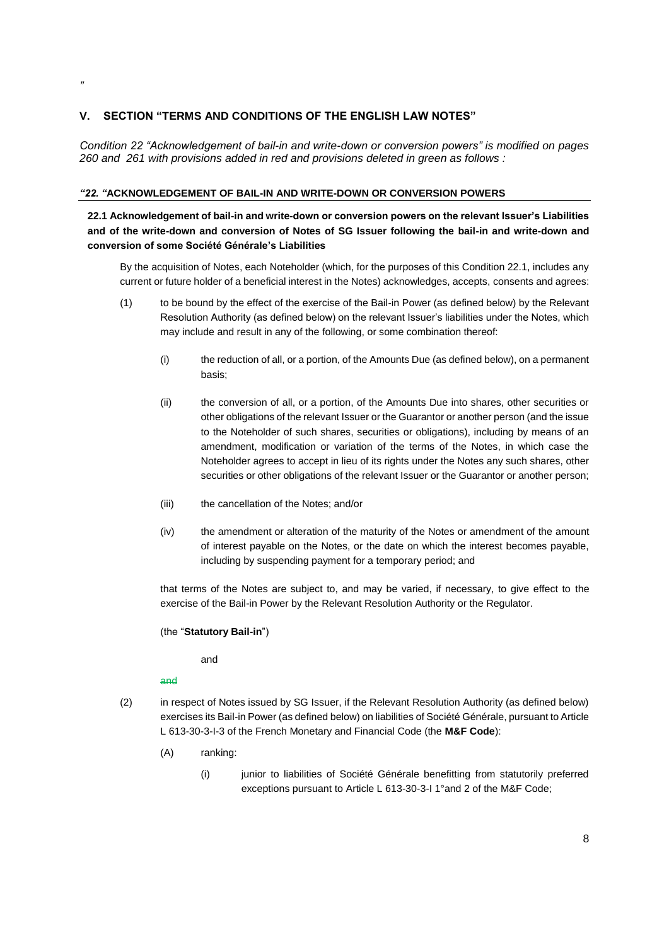# **V. SECTION "TERMS AND CONDITIONS OF THE ENGLISH LAW NOTES"**

*Condition 22 "Acknowledgement of bail-in and write-down or conversion powers" is modified on pages 260 and 261 with provisions added in red and provisions deleted in green as follows :* 

## *"22. "***ACKNOWLEDGEMENT OF BAIL-IN AND WRITE-DOWN OR CONVERSION POWERS**

# **22.1 Acknowledgement of bail-in and write-down or conversion powers on the relevant Issuer's Liabilities and of the write-down and conversion of Notes of SG Issuer following the bail-in and write-down and conversion of some Société Générale's Liabilities**

By the acquisition of Notes, each Noteholder (which, for the purposes of this Condition 22.1, includes any current or future holder of a beneficial interest in the Notes) acknowledges, accepts, consents and agrees:

- (1) to be bound by the effect of the exercise of the Bail-in Power (as defined below) by the Relevant Resolution Authority (as defined below) on the relevant Issuer's liabilities under the Notes, which may include and result in any of the following, or some combination thereof:
	- (i) the reduction of all, or a portion, of the Amounts Due (as defined below), on a permanent basis;
	- (ii) the conversion of all, or a portion, of the Amounts Due into shares, other securities or other obligations of the relevant Issuer or the Guarantor or another person (and the issue to the Noteholder of such shares, securities or obligations), including by means of an amendment, modification or variation of the terms of the Notes, in which case the Noteholder agrees to accept in lieu of its rights under the Notes any such shares, other securities or other obligations of the relevant Issuer or the Guarantor or another person;
	- (iii) the cancellation of the Notes; and/or
	- (iv) the amendment or alteration of the maturity of the Notes or amendment of the amount of interest payable on the Notes, or the date on which the interest becomes payable, including by suspending payment for a temporary period; and

that terms of the Notes are subject to, and may be varied, if necessary, to give effect to the exercise of the Bail-in Power by the Relevant Resolution Authority or the Regulator.

#### (the "**Statutory Bail-in**")

and

and

- (2) in respect of Notes issued by SG Issuer, if the Relevant Resolution Authority (as defined below) exercises its Bail-in Power (as defined below) on liabilities of Société Générale, pursuant to Article L 613-30-3-I-3 of the French Monetary and Financial Code (the **M&F Code**):
	- (A) ranking:
		- (i) junior to liabilities of Société Générale benefitting from statutorily preferred exceptions pursuant to Article L 613-30-3-I 1°and 2 of the M&F Code;

*"*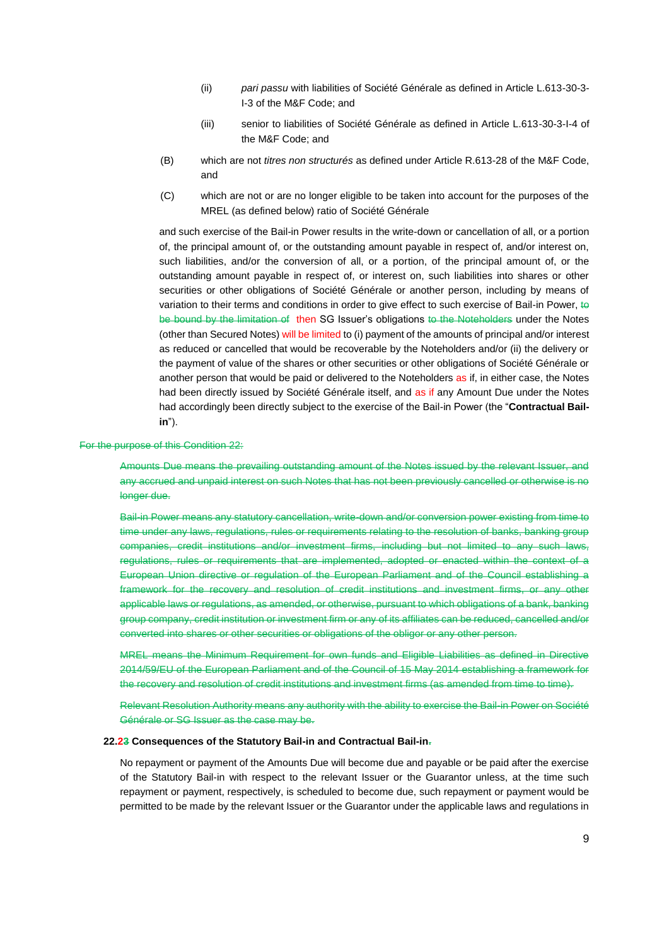- (ii) *pari passu* with liabilities of Société Générale as defined in Article L.613-30-3- I-3 of the M&F Code; and
- (iii) senior to liabilities of Société Générale as defined in Article L.613-30-3-I-4 of the M&F Code; and
- (B) which are not *titres non structurés* as defined under Article R.613-28 of the M&F Code, and
- (C) which are not or are no longer eligible to be taken into account for the purposes of the MREL (as defined below) ratio of Société Générale

and such exercise of the Bail-in Power results in the write-down or cancellation of all, or a portion of, the principal amount of, or the outstanding amount payable in respect of, and/or interest on, such liabilities, and/or the conversion of all, or a portion, of the principal amount of, or the outstanding amount payable in respect of, or interest on, such liabilities into shares or other securities or other obligations of Société Générale or another person, including by means of variation to their terms and conditions in order to give effect to such exercise of Bail-in Power, to be bound by the limitation of then SG Issuer's obligations to the Noteholders under the Notes (other than Secured Notes) will be limited to (i) payment of the amounts of principal and/or interest as reduced or cancelled that would be recoverable by the Noteholders and/or (ii) the delivery or the payment of value of the shares or other securities or other obligations of Société Générale or another person that would be paid or delivered to the Noteholders as if, in either case, the Notes had been directly issued by Société Générale itself, and as if any Amount Due under the Notes had accordingly been directly subject to the exercise of the Bail-in Power (the "**Contractual Bailin**").

#### For the purpose of this Condition 22:

Amounts Due means the prevailing outstanding amount of the Notes issued by the relevant Issuer, and any accrued and unpaid interest on such Notes that has not been previously cancelled or otherwise is no longer due.

Bail-in Power means any statutory cancellation, write-down and/or conversion power existing from time to time under any laws, regulations, rules or requirements relating to the resolution of banks, banking group companies, credit institutions and/or investment firms, including but not limited to any such laws, regulations, rules or requirements that are implemented, adopted or enacted within the context of a European Union directive or regulation of the European Parliament and of the Council establishing a framework for the recovery and resolution of credit institutions and investment firms, or any other applicable laws or regulations, as amended, or otherwise, pursuant to which obligations of a bank, banking group company, credit institution or investment firm or any of its affiliates can be reduced, cancelled and/or converted into shares or other securities or obligations of the obligor or any other person.

MREL means the Minimum Requirement for own funds and Eligible Liabilities as defined in Directive 2014/59/EU of the European Parliament and of the Council of 15 May 2014 establishing a framework for the recovery and resolution of credit institutions and investment firms (as amended from time to time).

Relevant Resolution Authority means any authority with the ability to exercise the Bail-in Power on Société Générale or SG Issuer as the case may be.

#### **22.23 Consequences of the Statutory Bail-in and Contractual Bail-in.**

No repayment or payment of the Amounts Due will become due and payable or be paid after the exercise of the Statutory Bail-in with respect to the relevant Issuer or the Guarantor unless, at the time such repayment or payment, respectively, is scheduled to become due, such repayment or payment would be permitted to be made by the relevant Issuer or the Guarantor under the applicable laws and regulations in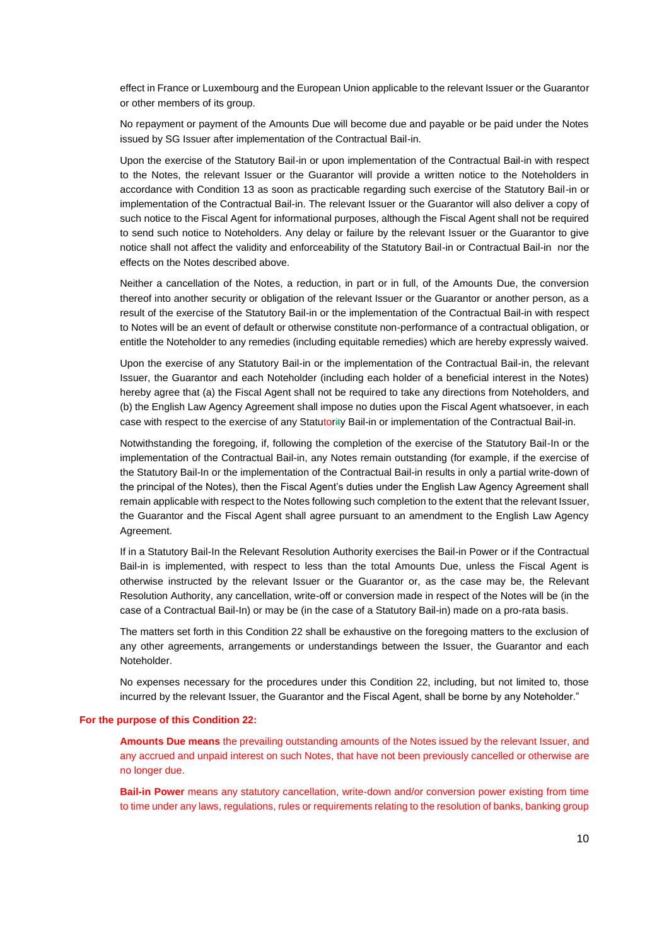effect in France or Luxembourg and the European Union applicable to the relevant Issuer or the Guarantor or other members of its group.

No repayment or payment of the Amounts Due will become due and payable or be paid under the Notes issued by SG Issuer after implementation of the Contractual Bail-in.

Upon the exercise of the Statutory Bail-in or upon implementation of the Contractual Bail-in with respect to the Notes, the relevant Issuer or the Guarantor will provide a written notice to the Noteholders in accordance with Condition 13 as soon as practicable regarding such exercise of the Statutory Bail-in or implementation of the Contractual Bail-in. The relevant Issuer or the Guarantor will also deliver a copy of such notice to the Fiscal Agent for informational purposes, although the Fiscal Agent shall not be required to send such notice to Noteholders. Any delay or failure by the relevant Issuer or the Guarantor to give notice shall not affect the validity and enforceability of the Statutory Bail-in or Contractual Bail-in nor the effects on the Notes described above.

Neither a cancellation of the Notes, a reduction, in part or in full, of the Amounts Due, the conversion thereof into another security or obligation of the relevant Issuer or the Guarantor or another person, as a result of the exercise of the Statutory Bail-in or the implementation of the Contractual Bail-in with respect to Notes will be an event of default or otherwise constitute non-performance of a contractual obligation, or entitle the Noteholder to any remedies (including equitable remedies) which are hereby expressly waived.

Upon the exercise of any Statutory Bail-in or the implementation of the Contractual Bail-in, the relevant Issuer, the Guarantor and each Noteholder (including each holder of a beneficial interest in the Notes) hereby agree that (a) the Fiscal Agent shall not be required to take any directions from Noteholders, and (b) the English Law Agency Agreement shall impose no duties upon the Fiscal Agent whatsoever, in each case with respect to the exercise of any Statutority Bail-in or implementation of the Contractual Bail-in.

Notwithstanding the foregoing, if, following the completion of the exercise of the Statutory Bail-In or the implementation of the Contractual Bail-in, any Notes remain outstanding (for example, if the exercise of the Statutory Bail-In or the implementation of the Contractual Bail-in results in only a partial write-down of the principal of the Notes), then the Fiscal Agent's duties under the English Law Agency Agreement shall remain applicable with respect to the Notes following such completion to the extent that the relevant Issuer, the Guarantor and the Fiscal Agent shall agree pursuant to an amendment to the English Law Agency Agreement.

If in a Statutory Bail-In the Relevant Resolution Authority exercises the Bail-in Power or if the Contractual Bail-in is implemented, with respect to less than the total Amounts Due, unless the Fiscal Agent is otherwise instructed by the relevant Issuer or the Guarantor or, as the case may be, the Relevant Resolution Authority, any cancellation, write-off or conversion made in respect of the Notes will be (in the case of a Contractual Bail-In) or may be (in the case of a Statutory Bail-in) made on a pro-rata basis.

The matters set forth in this Condition 22 shall be exhaustive on the foregoing matters to the exclusion of any other agreements, arrangements or understandings between the Issuer, the Guarantor and each Noteholder.

No expenses necessary for the procedures under this Condition 22, including, but not limited to, those incurred by the relevant Issuer, the Guarantor and the Fiscal Agent, shall be borne by any Noteholder."

#### **For the purpose of this Condition 22:**

**Amounts Due means** the prevailing outstanding amounts of the Notes issued by the relevant Issuer, and any accrued and unpaid interest on such Notes, that have not been previously cancelled or otherwise are no longer due.

**Bail-in Power** means any statutory cancellation, write-down and/or conversion power existing from time to time under any laws, regulations, rules or requirements relating to the resolution of banks, banking group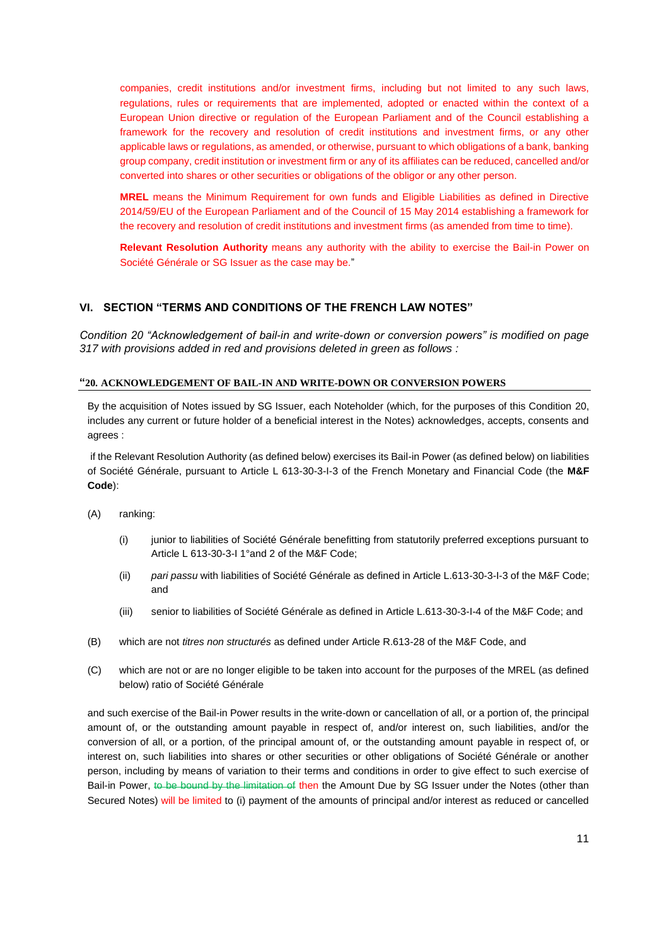companies, credit institutions and/or investment firms, including but not limited to any such laws, regulations, rules or requirements that are implemented, adopted or enacted within the context of a European Union directive or regulation of the European Parliament and of the Council establishing a framework for the recovery and resolution of credit institutions and investment firms, or any other applicable laws or regulations, as amended, or otherwise, pursuant to which obligations of a bank, banking group company, credit institution or investment firm or any of its affiliates can be reduced, cancelled and/or converted into shares or other securities or obligations of the obligor or any other person.

**MREL** means the Minimum Requirement for own funds and Eligible Liabilities as defined in Directive 2014/59/EU of the European Parliament and of the Council of 15 May 2014 establishing a framework for the recovery and resolution of credit institutions and investment firms (as amended from time to time).

**Relevant Resolution Authority** means any authority with the ability to exercise the Bail-in Power on Société Générale or SG Issuer as the case may be."

## **VI. SECTION "TERMS AND CONDITIONS OF THE FRENCH LAW NOTES"**

*Condition 20 "Acknowledgement of bail-in and write-down or conversion powers" is modified on page 317 with provisions added in red and provisions deleted in green as follows :* 

#### **"20. ACKNOWLEDGEMENT OF BAIL-IN AND WRITE-DOWN OR CONVERSION POWERS**

By the acquisition of Notes issued by SG Issuer, each Noteholder (which, for the purposes of this Condition 20, includes any current or future holder of a beneficial interest in the Notes) acknowledges, accepts, consents and agrees :

if the Relevant Resolution Authority (as defined below) exercises its Bail-in Power (as defined below) on liabilities of Société Générale, pursuant to Article L 613-30-3-I-3 of the French Monetary and Financial Code (the **M&F Code**):

- (A) ranking:
	- (i) junior to liabilities of Société Générale benefitting from statutorily preferred exceptions pursuant to Article L 613-30-3-I 1°and 2 of the M&F Code;
	- (ii) *pari passu* with liabilities of Société Générale as defined in Article L.613-30-3-I-3 of the M&F Code; and
	- (iii) senior to liabilities of Société Générale as defined in Article L.613-30-3-I-4 of the M&F Code; and
- (B) which are not *titres non structurés* as defined under Article R.613-28 of the M&F Code, and
- (C) which are not or are no longer eligible to be taken into account for the purposes of the MREL (as defined below) ratio of Société Générale

and such exercise of the Bail-in Power results in the write-down or cancellation of all, or a portion of, the principal amount of, or the outstanding amount payable in respect of, and/or interest on, such liabilities, and/or the conversion of all, or a portion, of the principal amount of, or the outstanding amount payable in respect of, or interest on, such liabilities into shares or other securities or other obligations of Société Générale or another person, including by means of variation to their terms and conditions in order to give effect to such exercise of Bail-in Power, to be bound by the limitation of then the Amount Due by SG Issuer under the Notes (other than Secured Notes) will be limited to (i) payment of the amounts of principal and/or interest as reduced or cancelled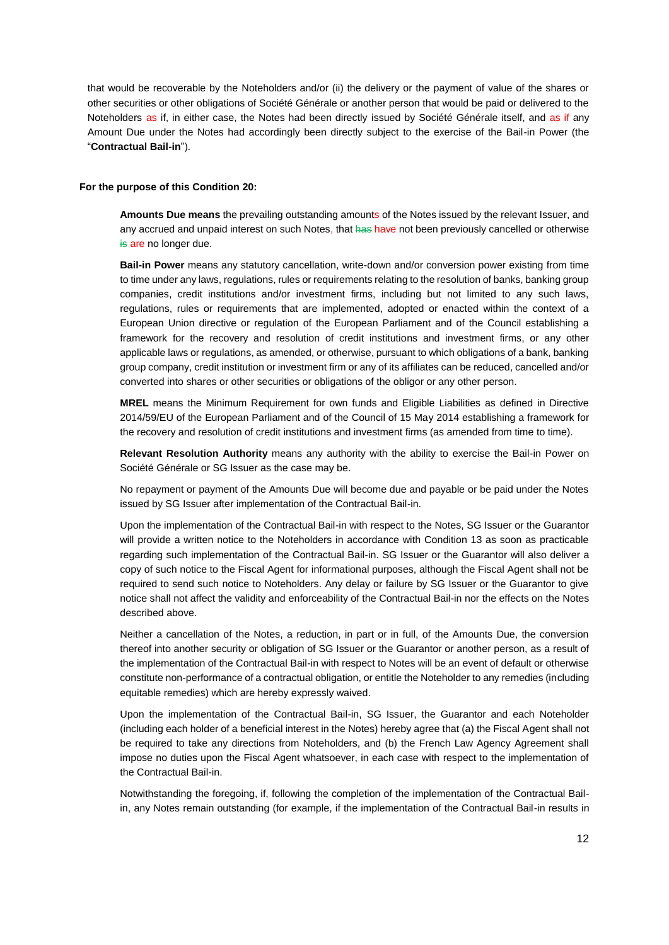that would be recoverable by the Noteholders and/or (ii) the delivery or the payment of value of the shares or other securities or other obligations of Société Générale or another person that would be paid or delivered to the Noteholders as if, in either case, the Notes had been directly issued by Société Générale itself, and as if any Amount Due under the Notes had accordingly been directly subject to the exercise of the Bail-in Power (the "**Contractual Bail-in**").

#### **For the purpose of this Condition 20:**

**Amounts Due means** the prevailing outstanding amounts of the Notes issued by the relevant Issuer, and any accrued and unpaid interest on such Notes, that has have not been previously cancelled or otherwise is are no longer due.

**Bail-in Power** means any statutory cancellation, write-down and/or conversion power existing from time to time under any laws, regulations, rules or requirements relating to the resolution of banks, banking group companies, credit institutions and/or investment firms, including but not limited to any such laws, regulations, rules or requirements that are implemented, adopted or enacted within the context of a European Union directive or regulation of the European Parliament and of the Council establishing a framework for the recovery and resolution of credit institutions and investment firms, or any other applicable laws or regulations, as amended, or otherwise, pursuant to which obligations of a bank, banking group company, credit institution or investment firm or any of its affiliates can be reduced, cancelled and/or converted into shares or other securities or obligations of the obligor or any other person.

**MREL** means the Minimum Requirement for own funds and Eligible Liabilities as defined in Directive 2014/59/EU of the European Parliament and of the Council of 15 May 2014 establishing a framework for the recovery and resolution of credit institutions and investment firms (as amended from time to time).

**Relevant Resolution Authority** means any authority with the ability to exercise the Bail-in Power on Société Générale or SG Issuer as the case may be.

No repayment or payment of the Amounts Due will become due and payable or be paid under the Notes issued by SG Issuer after implementation of the Contractual Bail-in.

Upon the implementation of the Contractual Bail-in with respect to the Notes, SG Issuer or the Guarantor will provide a written notice to the Noteholders in accordance with Condition 13 as soon as practicable regarding such implementation of the Contractual Bail-in. SG Issuer or the Guarantor will also deliver a copy of such notice to the Fiscal Agent for informational purposes, although the Fiscal Agent shall not be required to send such notice to Noteholders. Any delay or failure by SG Issuer or the Guarantor to give notice shall not affect the validity and enforceability of the Contractual Bail-in nor the effects on the Notes described above.

Neither a cancellation of the Notes, a reduction, in part or in full, of the Amounts Due, the conversion thereof into another security or obligation of SG Issuer or the Guarantor or another person, as a result of the implementation of the Contractual Bail-in with respect to Notes will be an event of default or otherwise constitute non-performance of a contractual obligation, or entitle the Noteholder to any remedies (including equitable remedies) which are hereby expressly waived.

Upon the implementation of the Contractual Bail-in, SG Issuer, the Guarantor and each Noteholder (including each holder of a beneficial interest in the Notes) hereby agree that (a) the Fiscal Agent shall not be required to take any directions from Noteholders, and (b) the French Law Agency Agreement shall impose no duties upon the Fiscal Agent whatsoever, in each case with respect to the implementation of the Contractual Bail-in.

Notwithstanding the foregoing, if, following the completion of the implementation of the Contractual Bailin, any Notes remain outstanding (for example, if the implementation of the Contractual Bail-in results in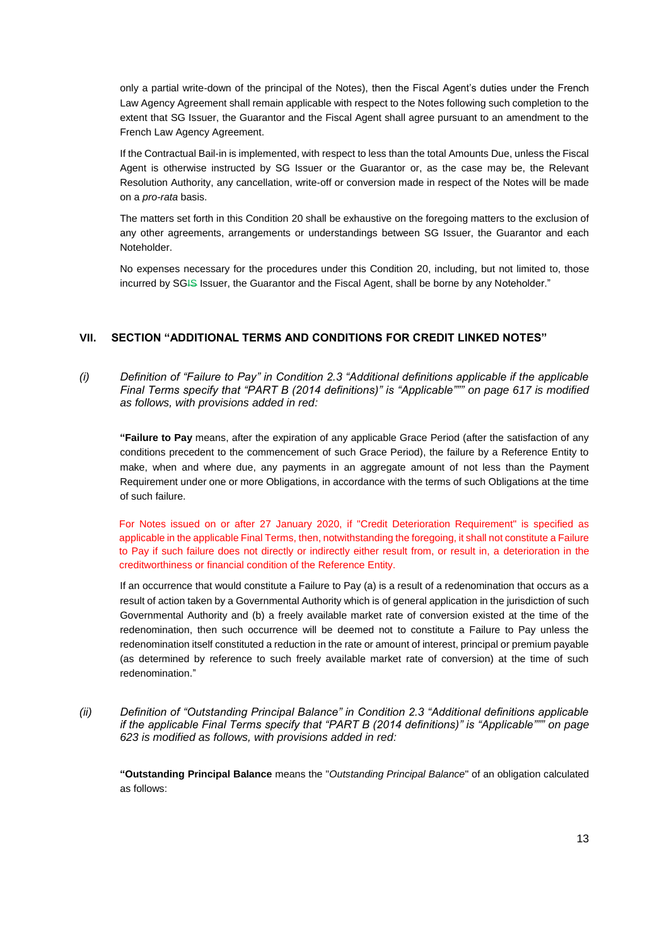only a partial write-down of the principal of the Notes), then the Fiscal Agent's duties under the French Law Agency Agreement shall remain applicable with respect to the Notes following such completion to the extent that SG Issuer, the Guarantor and the Fiscal Agent shall agree pursuant to an amendment to the French Law Agency Agreement.

If the Contractual Bail-in is implemented, with respect to less than the total Amounts Due, unless the Fiscal Agent is otherwise instructed by SG Issuer or the Guarantor or, as the case may be, the Relevant Resolution Authority, any cancellation, write-off or conversion made in respect of the Notes will be made on a *pro-rata* basis.

The matters set forth in this Condition 20 shall be exhaustive on the foregoing matters to the exclusion of any other agreements, arrangements or understandings between SG Issuer, the Guarantor and each Noteholder.

No expenses necessary for the procedures under this Condition 20, including, but not limited to, those incurred by SGIS Issuer, the Guarantor and the Fiscal Agent, shall be borne by any Noteholder."

# **VII. SECTION "ADDITIONAL TERMS AND CONDITIONS FOR CREDIT LINKED NOTES"**

*(i) Definition of "Failure to Pay" in Condition 2.3 "Additional definitions applicable if the applicable Final Terms specify that "PART B (2014 definitions)" is "Applicable""" on page 617 is modified as follows, with provisions added in red:*

**"Failure to Pay** means, after the expiration of any applicable Grace Period (after the satisfaction of any conditions precedent to the commencement of such Grace Period), the failure by a Reference Entity to make, when and where due, any payments in an aggregate amount of not less than the Payment Requirement under one or more Obligations, in accordance with the terms of such Obligations at the time of such failure.

For Notes issued on or after 27 January 2020, if "Credit Deterioration Requirement" is specified as applicable in the applicable Final Terms, then, notwithstanding the foregoing, it shall not constitute a Failure to Pay if such failure does not directly or indirectly either result from, or result in, a deterioration in the creditworthiness or financial condition of the Reference Entity.

If an occurrence that would constitute a Failure to Pay (a) is a result of a redenomination that occurs as a result of action taken by a Governmental Authority which is of general application in the jurisdiction of such Governmental Authority and (b) a freely available market rate of conversion existed at the time of the redenomination, then such occurrence will be deemed not to constitute a Failure to Pay unless the redenomination itself constituted a reduction in the rate or amount of interest, principal or premium payable (as determined by reference to such freely available market rate of conversion) at the time of such redenomination."

*(ii) Definition of "Outstanding Principal Balance" in Condition 2.3 "Additional definitions applicable if the applicable Final Terms specify that "PART B (2014 definitions)" is "Applicable""" on page 623 is modified as follows, with provisions added in red:*

**"Outstanding Principal Balance** means the "*Outstanding Principal Balance*" of an obligation calculated as follows: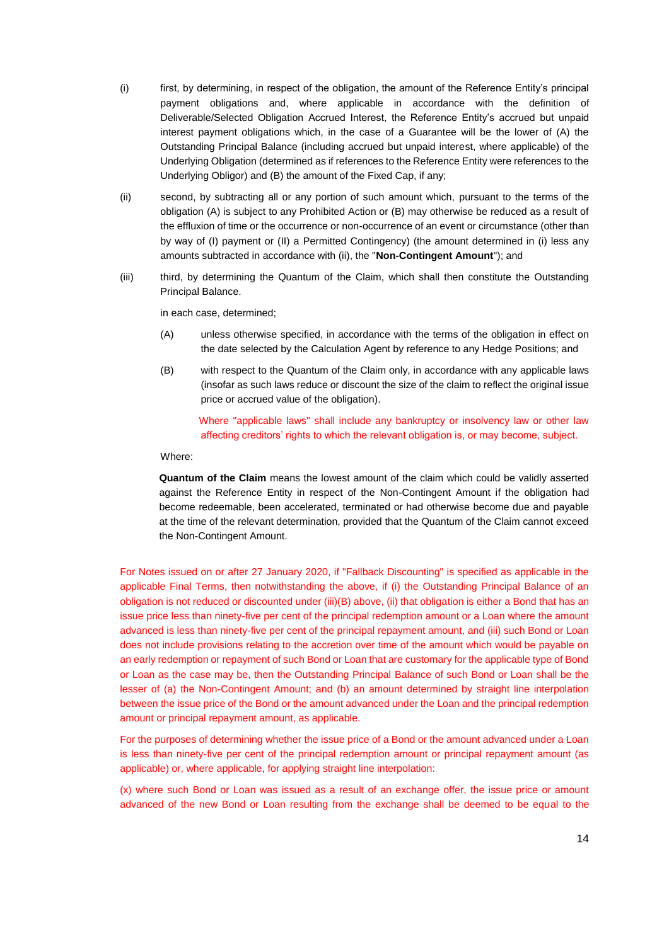- (i) first, by determining, in respect of the obligation, the amount of the Reference Entity's principal payment obligations and, where applicable in accordance with the definition of Deliverable/Selected Obligation Accrued Interest, the Reference Entity's accrued but unpaid interest payment obligations which, in the case of a Guarantee will be the lower of (A) the Outstanding Principal Balance (including accrued but unpaid interest, where applicable) of the Underlying Obligation (determined as if references to the Reference Entity were references to the Underlying Obligor) and (B) the amount of the Fixed Cap, if any;
- (ii) second, by subtracting all or any portion of such amount which, pursuant to the terms of the obligation (A) is subject to any Prohibited Action or (B) may otherwise be reduced as a result of the effluxion of time or the occurrence or non-occurrence of an event or circumstance (other than by way of (I) payment or (II) a Permitted Contingency) (the amount determined in (i) less any amounts subtracted in accordance with (ii), the "**Non-Contingent Amount**"); and
- (iii) third, by determining the Quantum of the Claim, which shall then constitute the Outstanding Principal Balance.

in each case, determined;

- (A) unless otherwise specified, in accordance with the terms of the obligation in effect on the date selected by the Calculation Agent by reference to any Hedge Positions; and
- (B) with respect to the Quantum of the Claim only, in accordance with any applicable laws (insofar as such laws reduce or discount the size of the claim to reflect the original issue price or accrued value of the obligation).

Where "applicable laws" shall include any bankruptcy or insolvency law or other law affecting creditors' rights to which the relevant obligation is, or may become, subject.

Where:

**Quantum of the Claim** means the lowest amount of the claim which could be validly asserted against the Reference Entity in respect of the Non-Contingent Amount if the obligation had become redeemable, been accelerated, terminated or had otherwise become due and payable at the time of the relevant determination, provided that the Quantum of the Claim cannot exceed the Non-Contingent Amount.

For Notes issued on or after 27 January 2020, if "Fallback Discounting" is specified as applicable in the applicable Final Terms, then notwithstanding the above, if (i) the Outstanding Principal Balance of an obligation is not reduced or discounted under (iii)(B) above, (ii) that obligation is either a Bond that has an issue price less than ninety-five per cent of the principal redemption amount or a Loan where the amount advanced is less than ninety-five per cent of the principal repayment amount, and (iii) such Bond or Loan does not include provisions relating to the accretion over time of the amount which would be payable on an early redemption or repayment of such Bond or Loan that are customary for the applicable type of Bond or Loan as the case may be, then the Outstanding Principal Balance of such Bond or Loan shall be the lesser of (a) the Non-Contingent Amount; and (b) an amount determined by straight line interpolation between the issue price of the Bond or the amount advanced under the Loan and the principal redemption amount or principal repayment amount, as applicable.

For the purposes of determining whether the issue price of a Bond or the amount advanced under a Loan is less than ninety-five per cent of the principal redemption amount or principal repayment amount (as applicable) or, where applicable, for applying straight line interpolation:

(x) where such Bond or Loan was issued as a result of an exchange offer, the issue price or amount advanced of the new Bond or Loan resulting from the exchange shall be deemed to be equal to the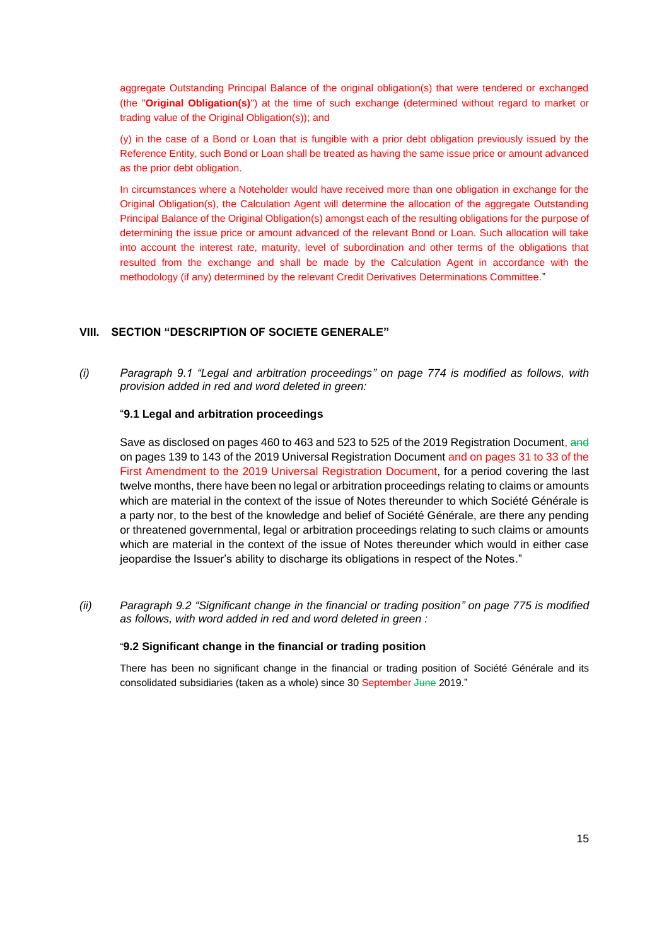aggregate Outstanding Principal Balance of the original obligation(s) that were tendered or exchanged (the "**Original Obligation(s)**") at the time of such exchange (determined without regard to market or trading value of the Original Obligation(s)); and

(y) in the case of a Bond or Loan that is fungible with a prior debt obligation previously issued by the Reference Entity, such Bond or Loan shall be treated as having the same issue price or amount advanced as the prior debt obligation.

In circumstances where a Noteholder would have received more than one obligation in exchange for the Original Obligation(s), the Calculation Agent will determine the allocation of the aggregate Outstanding Principal Balance of the Original Obligation(s) amongst each of the resulting obligations for the purpose of determining the issue price or amount advanced of the relevant Bond or Loan. Such allocation will take into account the interest rate, maturity, level of subordination and other terms of the obligations that resulted from the exchange and shall be made by the Calculation Agent in accordance with the methodology (if any) determined by the relevant Credit Derivatives Determinations Committee."

# **VIII. SECTION "DESCRIPTION OF SOCIETE GENERALE"**

*(i) Paragraph 9.1 "Legal and arbitration proceedings" on page 774 is modified as follows, with provision added in red and word deleted in green:*

## "**9.1 Legal and arbitration proceedings**

Save as disclosed on pages 460 to 463 and 523 to 525 of the 2019 Registration Document, and on pages 139 to 143 of the 2019 Universal Registration Document and on pages 31 to 33 of the First Amendment to the 2019 Universal Registration Document, for a period covering the last twelve months, there have been no legal or arbitration proceedings relating to claims or amounts which are material in the context of the issue of Notes thereunder to which Société Générale is a party nor, to the best of the knowledge and belief of Société Générale, are there any pending or threatened governmental, legal or arbitration proceedings relating to such claims or amounts which are material in the context of the issue of Notes thereunder which would in either case jeopardise the Issuer's ability to discharge its obligations in respect of the Notes."

*(ii) Paragraph 9.2 "Significant change in the financial or trading position" on page 775 is modified as follows, with word added in red and word deleted in green :* 

## "**9.2 Significant change in the financial or trading position**

There has been no significant change in the financial or trading position of Société Générale and its consolidated subsidiaries (taken as a whole) since 30 September June 2019."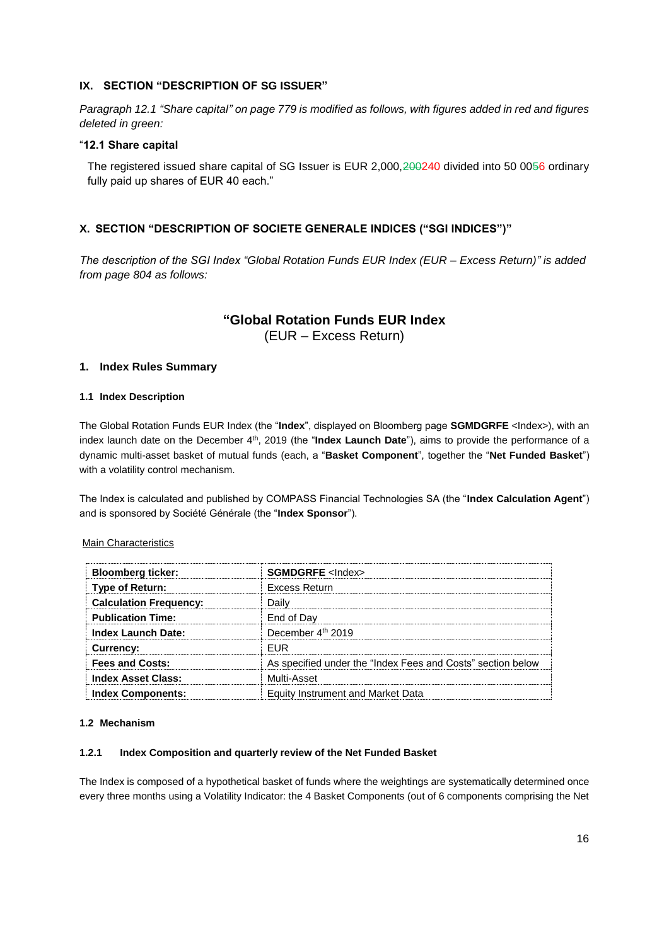# **IX. SECTION "DESCRIPTION OF SG ISSUER"**

*Paragraph 12.1 "Share capital" on page 779 is modified as follows, with figures added in red and figures deleted in green:*

## "**12.1 Share capital**

The registered issued share capital of SG Issuer is EUR 2,000, 200240 divided into 50 0056 ordinary fully paid up shares of EUR 40 each."

# **X. SECTION "DESCRIPTION OF SOCIETE GENERALE INDICES ("SGI INDICES")"**

*The description of the SGI Index "Global Rotation Funds EUR Index (EUR – Excess Return)" is added from page 804 as follows:*

# **"Global Rotation Funds EUR Index**

(EUR – Excess Return)

# **1. Index Rules Summary**

## **1.1 Index Description**

The Global Rotation Funds EUR Index (the "**Index**", displayed on Bloomberg page **SGMDGRFE** <Index>), with an index launch date on the December 4<sup>th</sup>, 2019 (the "**Index Launch Date**"), aims to provide the performance of a dynamic multi-asset basket of mutual funds (each, a "**Basket Component**", together the "**Net Funded Basket**") with a volatility control mechanism.

The Index is calculated and published by COMPASS Financial Technologies SA (the "**Index Calculation Agent**") and is sponsored by Société Générale (the "**Index Sponsor**").

## Main Characteristics

| <b>Bloomberg ticker:</b>      | <b>SGMDGRFE</b> <lndex></lndex>                             |
|-------------------------------|-------------------------------------------------------------|
| Type of Return:               | Excess Return                                               |
| <b>Calculation Frequency:</b> | Dailv                                                       |
| <b>Publication Time:</b>      | End of Day                                                  |
| <b>Index Launch Date:</b>     | December 4th 2019                                           |
| Currency:                     | FUR                                                         |
| <b>Fees and Costs:</b>        | As specified under the "Index Fees and Costs" section below |
| <b>Index Asset Class:</b>     | Multi-Asset                                                 |
| <b>Index Components:</b>      | Equity Instrument and Market Data                           |

#### **1.2 Mechanism**

#### **1.2.1 Index Composition and quarterly review of the Net Funded Basket**

The Index is composed of a hypothetical basket of funds where the weightings are systematically determined once every three months using a Volatility Indicator: the 4 Basket Components (out of 6 components comprising the Net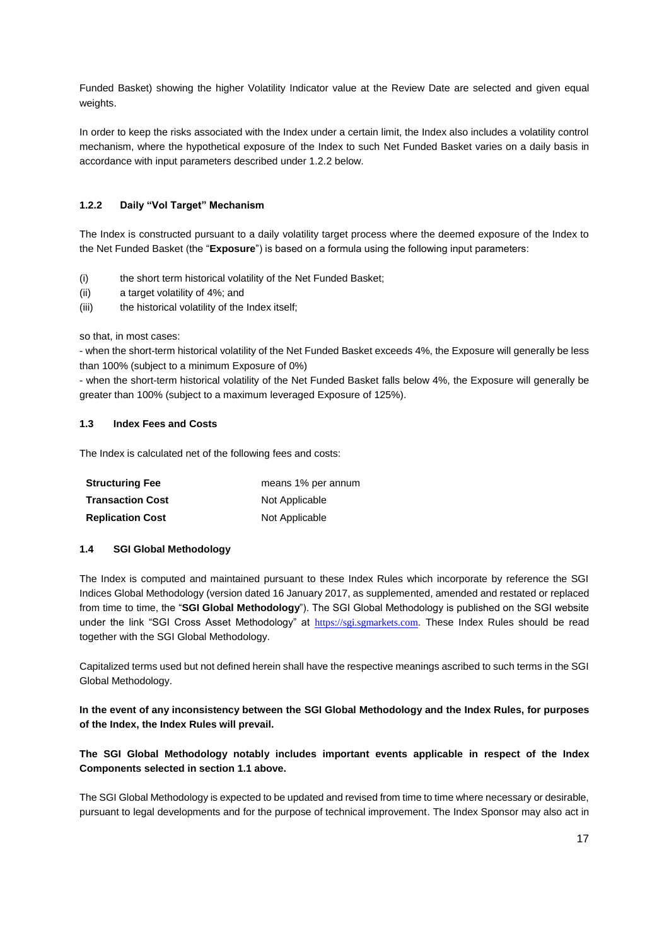Funded Basket) showing the higher Volatility Indicator value at the Review Date are selected and given equal weights.

In order to keep the risks associated with the Index under a certain limit, the Index also includes a volatility control mechanism, where the hypothetical exposure of the Index to such Net Funded Basket varies on a daily basis in accordance with input parameters described under 1.2.2 below.

# **1.2.2 Daily "Vol Target" Mechanism**

The Index is constructed pursuant to a daily volatility target process where the deemed exposure of the Index to the Net Funded Basket (the "**Exposure**") is based on a formula using the following input parameters:

- (i) the short term historical volatility of the Net Funded Basket;
- (ii) a target volatility of 4%; and
- (iii) the historical volatility of the Index itself;

so that, in most cases:

- when the short-term historical volatility of the Net Funded Basket exceeds 4%, the Exposure will generally be less than 100% (subject to a minimum Exposure of 0%)

- when the short-term historical volatility of the Net Funded Basket falls below 4%, the Exposure will generally be greater than 100% (subject to a maximum leveraged Exposure of 125%).

#### **1.3 Index Fees and Costs**

The Index is calculated net of the following fees and costs:

| <b>Structuring Fee</b>  | means 1% per annum |
|-------------------------|--------------------|
| <b>Transaction Cost</b> | Not Applicable     |
| <b>Replication Cost</b> | Not Applicable     |

## **1.4 SGI Global Methodology**

The Index is computed and maintained pursuant to these Index Rules which incorporate by reference the SGI Indices Global Methodology (version dated 16 January 2017, as supplemented, amended and restated or replaced from time to time, the "**SGI Global Methodology**"). The SGI Global Methodology is published on the SGI website under the link "SGI Cross Asset Methodology" at [https://sgi.sgmarkets.com](https://sgi.sgmarkets.com/). These Index Rules should be read together with the SGI Global Methodology.

Capitalized terms used but not defined herein shall have the respective meanings ascribed to such terms in the SGI Global Methodology.

**In the event of any inconsistency between the SGI Global Methodology and the Index Rules, for purposes of the Index, the Index Rules will prevail.**

# **The SGI Global Methodology notably includes important events applicable in respect of the Index Components selected in section 1.1 above.**

The SGI Global Methodology is expected to be updated and revised from time to time where necessary or desirable, pursuant to legal developments and for the purpose of technical improvement. The Index Sponsor may also act in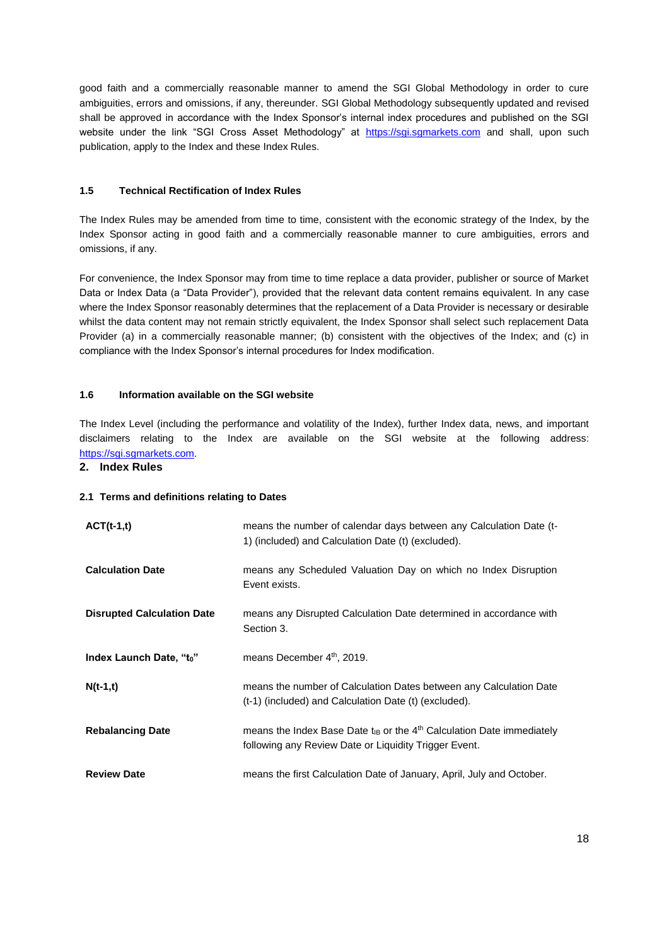good faith and a commercially reasonable manner to amend the SGI Global Methodology in order to cure ambiguities, errors and omissions, if any, thereunder. SGI Global Methodology subsequently updated and revised shall be approved in accordance with the Index Sponsor's internal index procedures and published on the SGI website under the link "SGI Cross Asset Methodology" at [https://sgi.sgmarkets.com](https://sgi.sgmarkets.com/) and shall, upon such publication, apply to the Index and these Index Rules.

# **1.5 Technical Rectification of Index Rules**

The Index Rules may be amended from time to time, consistent with the economic strategy of the Index, by the Index Sponsor acting in good faith and a commercially reasonable manner to cure ambiguities, errors and omissions, if any.

For convenience, the Index Sponsor may from time to time replace a data provider, publisher or source of Market Data or Index Data (a "Data Provider"), provided that the relevant data content remains equivalent. In any case where the Index Sponsor reasonably determines that the replacement of a Data Provider is necessary or desirable whilst the data content may not remain strictly equivalent, the Index Sponsor shall select such replacement Data Provider (a) in a commercially reasonable manner; (b) consistent with the objectives of the Index; and (c) in compliance with the Index Sponsor's internal procedures for Index modification.

# **1.6 Information available on the SGI website**

The Index Level (including the performance and volatility of the Index), further Index data, news, and important disclaimers relating to the Index are available on the SGI website at the following address: [https://sgi.sgmarkets.com](https://sgi.sgmarkets.com/).

## **2. Index Rules**

## **2.1 Terms and definitions relating to Dates**

| $ACT(t-1,t)$                      | means the number of calendar days between any Calculation Date (t-<br>1) (included) and Calculation Date (t) (excluded).              |
|-----------------------------------|---------------------------------------------------------------------------------------------------------------------------------------|
| <b>Calculation Date</b>           | means any Scheduled Valuation Day on which no Index Disruption<br>Event exists.                                                       |
| <b>Disrupted Calculation Date</b> | means any Disrupted Calculation Date determined in accordance with<br>Section 3.                                                      |
| Index Launch Date, "to"           | means December 4th, 2019.                                                                                                             |
| $N(t-1,t)$                        | means the number of Calculation Dates between any Calculation Date<br>(t-1) (included) and Calculation Date (t) (excluded).           |
| <b>Rebalancing Date</b>           | means the Index Base Date $t_{IB}$ or the $4th$ Calculation Date immediately<br>following any Review Date or Liquidity Trigger Event. |
| <b>Review Date</b>                | means the first Calculation Date of January, April, July and October.                                                                 |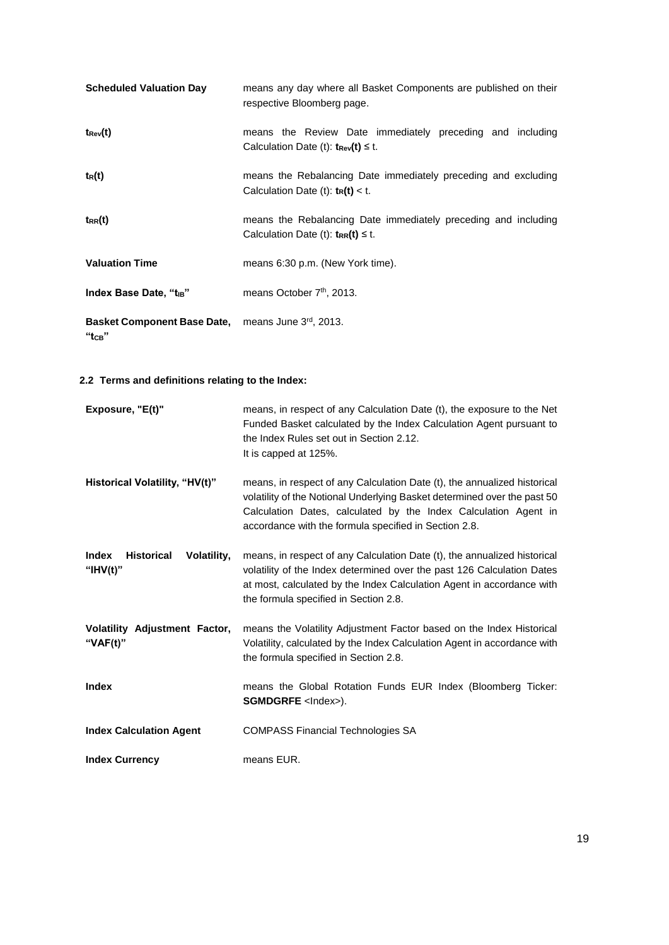| <b>Scheduled Valuation Day</b>                                   | means any day where all Basket Components are published on their<br>respective Bloomberg page.                  |
|------------------------------------------------------------------|-----------------------------------------------------------------------------------------------------------------|
| $t_{\rm Rev}(t)$                                                 | means the Review Date immediately preceding and including<br>Calculation Date (t): $t_{\text{Rev}}(t) \leq t$ . |
| $t_R(t)$                                                         | means the Rebalancing Date immediately preceding and excluding<br>Calculation Date (t): $t_R(t) < t$ .          |
| $t_{RR}(t)$                                                      | means the Rebalancing Date immediately preceding and including<br>Calculation Date (t): $t_{RR}(t) \leq t$ .    |
| <b>Valuation Time</b>                                            | means 6:30 p.m. (New York time).                                                                                |
| Index Base Date, "t <sub>iB</sub> "                              | means October 7 <sup>th</sup> , 2013.                                                                           |
| Basket Component Base Date, means June 3rd, 2013.<br>$"$ tсв $"$ |                                                                                                                 |

# **2.2 Terms and definitions relating to the Index:**

| Exposure, "E(t)"                                                | means, in respect of any Calculation Date (t), the exposure to the Net<br>Funded Basket calculated by the Index Calculation Agent pursuant to<br>the Index Rules set out in Section 2.12.<br>It is capped at 125%.                                                               |
|-----------------------------------------------------------------|----------------------------------------------------------------------------------------------------------------------------------------------------------------------------------------------------------------------------------------------------------------------------------|
| Historical Volatility, "HV(t)"                                  | means, in respect of any Calculation Date (t), the annualized historical<br>volatility of the Notional Underlying Basket determined over the past 50<br>Calculation Dates, calculated by the Index Calculation Agent in<br>accordance with the formula specified in Section 2.8. |
| <b>Index</b><br><b>Historical</b><br>Volatility,<br>" $HV(t)$ " | means, in respect of any Calculation Date (t), the annualized historical<br>volatility of the Index determined over the past 126 Calculation Dates<br>at most, calculated by the Index Calculation Agent in accordance with<br>the formula specified in Section 2.8.             |
| Volatility Adjustment Factor,<br>" $VAF(t)$ "                   | means the Volatility Adjustment Factor based on the Index Historical<br>Volatility, calculated by the Index Calculation Agent in accordance with<br>the formula specified in Section 2.8.                                                                                        |
| <b>Index</b>                                                    | means the Global Rotation Funds EUR Index (Bloomberg Ticker:<br><b>SGMDGRFE</b> <lndex>).</lndex>                                                                                                                                                                                |
| <b>Index Calculation Agent</b>                                  | <b>COMPASS Financial Technologies SA</b>                                                                                                                                                                                                                                         |
| <b>Index Currency</b>                                           | means EUR.                                                                                                                                                                                                                                                                       |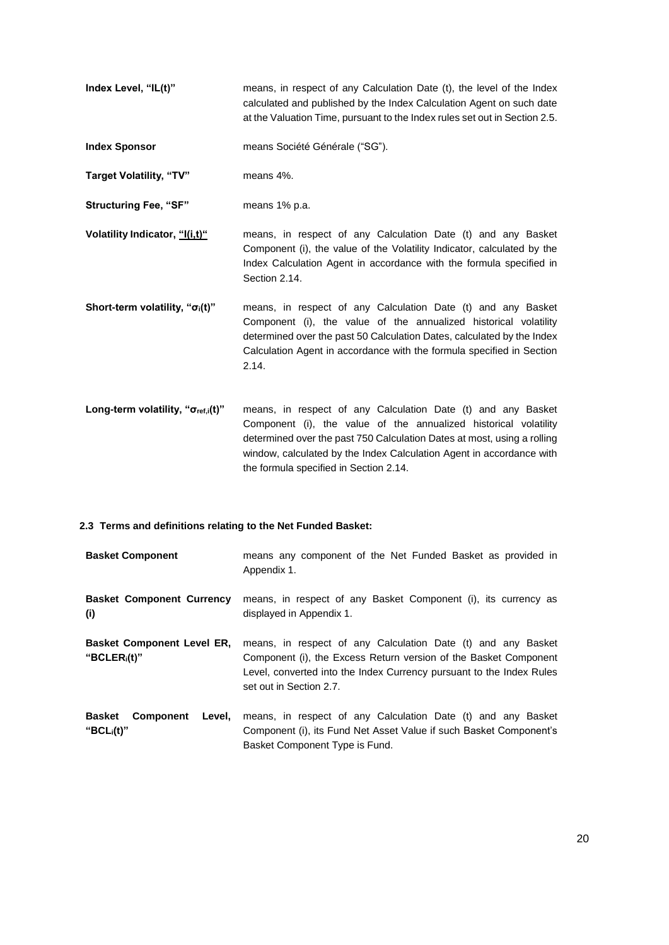- **Index Level, "IL(t)"** means, in respect of any Calculation Date (t), the level of the Index calculated and published by the Index Calculation Agent on such date at the Valuation Time, pursuant to the Index rules set out in Section 2.5.
- **Index Sponsor** means Société Générale ("SG").
- **Target Volatility, "TV"** means 4%.
- **Structuring Fee, "SF"** means 1% p.a.
- **Volatility Indicator, "I(i,t)"** means, in respect of any Calculation Date (t) and any Basket Component (i), the value of the Volatility Indicator, calculated by the Index Calculation Agent in accordance with the formula specified in Section 2.14.
- **Short-term volatility, "σi(t)"** means, in respect of any Calculation Date (t) and any Basket Component (i), the value of the annualized historical volatility determined over the past 50 Calculation Dates, calculated by the Index Calculation Agent in accordance with the formula specified in Section 2.14.
- **Long-term volatility, "σref,i(t)"** means, in respect of any Calculation Date (t) and any Basket Component (i), the value of the annualized historical volatility determined over the past 750 Calculation Dates at most, using a rolling window, calculated by the Index Calculation Agent in accordance with the formula specified in Section 2.14.

#### **2.3 Terms and definitions relating to the Net Funded Basket:**

| <b>Basket Component</b>                               | means any component of the Net Funded Basket as provided in<br>Appendix 1.                                                                                                                                                          |  |
|-------------------------------------------------------|-------------------------------------------------------------------------------------------------------------------------------------------------------------------------------------------------------------------------------------|--|
| <b>Basket Component Currency</b><br>(i)               | means, in respect of any Basket Component (i), its currency as<br>displayed in Appendix 1.                                                                                                                                          |  |
| <b>Basket Component Level ER,</b><br>" $BCLER_i(t)$ " | means, in respect of any Calculation Date (t) and any Basket<br>Component (i), the Excess Return version of the Basket Component<br>Level, converted into the Index Currency pursuant to the Index Rules<br>set out in Section 2.7. |  |
| <b>Basket</b><br>Component<br>Level.<br>" $BCLi(t)$ " | means, in respect of any Calculation Date (t) and any Basket<br>Component (i), its Fund Net Asset Value if such Basket Component's<br>Basket Component Type is Fund.                                                                |  |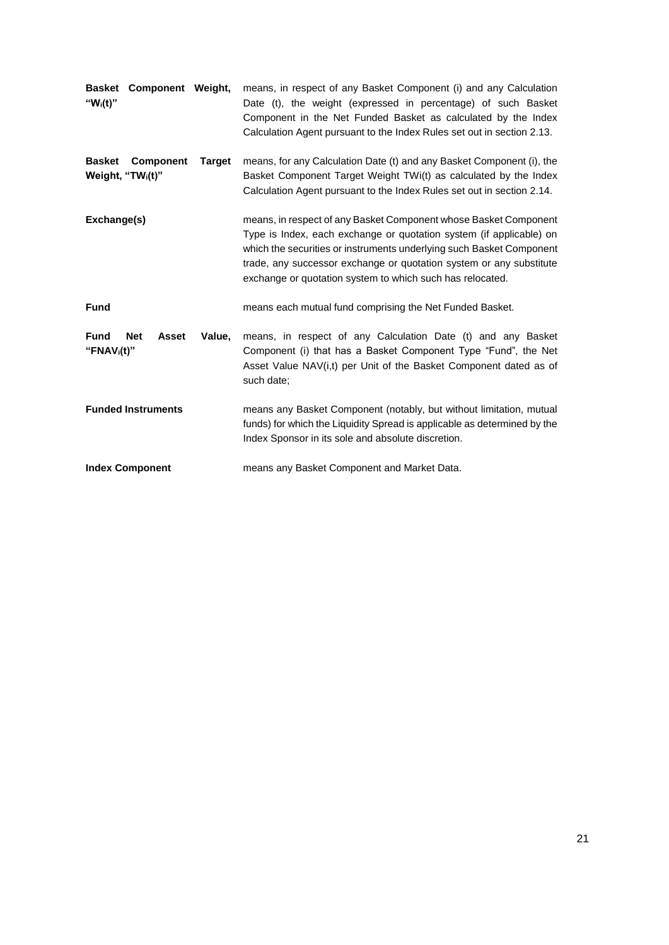| Component Weight,<br><b>Basket</b><br>" $W_i(t)$ "                                  | means, in respect of any Basket Component (i) and any Calculation<br>Date (t), the weight (expressed in percentage) of such Basket<br>Component in the Net Funded Basket as calculated by the Index<br>Calculation Agent pursuant to the Index Rules set out in section 2.13.                                                                       |  |
|-------------------------------------------------------------------------------------|-----------------------------------------------------------------------------------------------------------------------------------------------------------------------------------------------------------------------------------------------------------------------------------------------------------------------------------------------------|--|
| <b>Basket</b><br><b>Component</b><br><b>Target</b><br>Weight, "TW <sub>i</sub> (t)" | means, for any Calculation Date (t) and any Basket Component (i), the<br>Basket Component Target Weight TWi(t) as calculated by the Index<br>Calculation Agent pursuant to the Index Rules set out in section 2.14.                                                                                                                                 |  |
| Exchange(s)                                                                         | means, in respect of any Basket Component whose Basket Component<br>Type is Index, each exchange or quotation system (if applicable) on<br>which the securities or instruments underlying such Basket Component<br>trade, any successor exchange or quotation system or any substitute<br>exchange or quotation system to which such has relocated. |  |
| <b>Fund</b>                                                                         | means each mutual fund comprising the Net Funded Basket.                                                                                                                                                                                                                                                                                            |  |
| <b>Fund</b><br><b>Net</b><br><b>Asset</b><br>Value,<br>"FNAV $i(t)$ "               | means, in respect of any Calculation Date (t) and any Basket<br>Component (i) that has a Basket Component Type "Fund", the Net<br>Asset Value NAV(i,t) per Unit of the Basket Component dated as of<br>such date;                                                                                                                                   |  |
| <b>Funded Instruments</b>                                                           | means any Basket Component (notably, but without limitation, mutual<br>funds) for which the Liquidity Spread is applicable as determined by the<br>Index Sponsor in its sole and absolute discretion.                                                                                                                                               |  |
| <b>Index Component</b>                                                              | means any Basket Component and Market Data.                                                                                                                                                                                                                                                                                                         |  |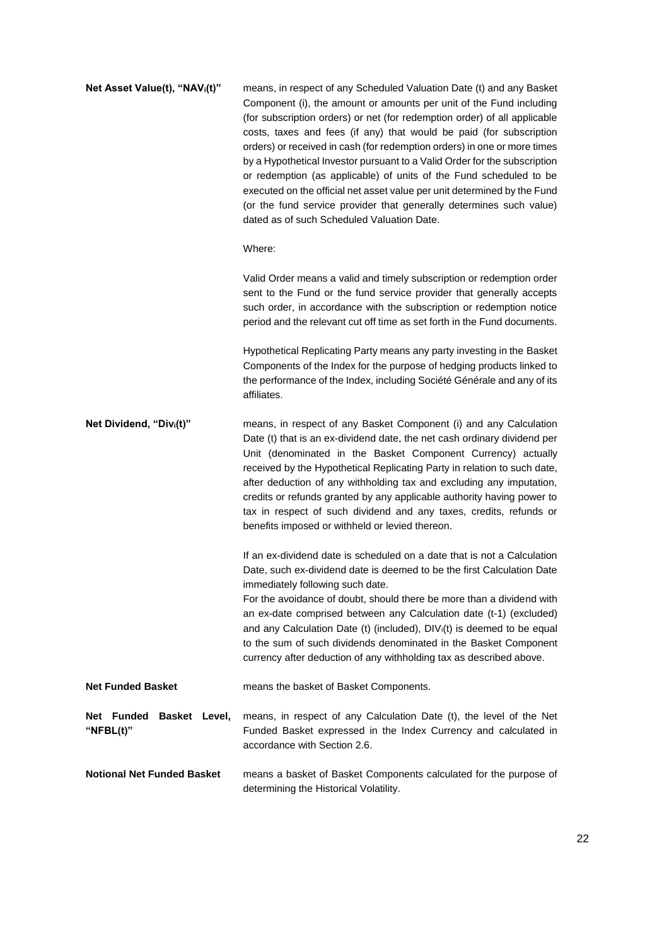| Net Asset Value(t), "NAV <sub>i</sub> (t)"   | means, in respect of any Scheduled Valuation Date (t) and any Basket<br>Component (i), the amount or amounts per unit of the Fund including<br>(for subscription orders) or net (for redemption order) of all applicable<br>costs, taxes and fees (if any) that would be paid (for subscription<br>orders) or received in cash (for redemption orders) in one or more times<br>by a Hypothetical Investor pursuant to a Valid Order for the subscription<br>or redemption (as applicable) of units of the Fund scheduled to be<br>executed on the official net asset value per unit determined by the Fund<br>(or the fund service provider that generally determines such value)<br>dated as of such Scheduled Valuation Date. |
|----------------------------------------------|---------------------------------------------------------------------------------------------------------------------------------------------------------------------------------------------------------------------------------------------------------------------------------------------------------------------------------------------------------------------------------------------------------------------------------------------------------------------------------------------------------------------------------------------------------------------------------------------------------------------------------------------------------------------------------------------------------------------------------|
|                                              | Where:                                                                                                                                                                                                                                                                                                                                                                                                                                                                                                                                                                                                                                                                                                                          |
|                                              | Valid Order means a valid and timely subscription or redemption order<br>sent to the Fund or the fund service provider that generally accepts<br>such order, in accordance with the subscription or redemption notice<br>period and the relevant cut off time as set forth in the Fund documents.                                                                                                                                                                                                                                                                                                                                                                                                                               |
|                                              | Hypothetical Replicating Party means any party investing in the Basket<br>Components of the Index for the purpose of hedging products linked to<br>the performance of the Index, including Société Générale and any of its<br>affiliates.                                                                                                                                                                                                                                                                                                                                                                                                                                                                                       |
| Net Dividend, "Divi(t)"                      | means, in respect of any Basket Component (i) and any Calculation<br>Date (t) that is an ex-dividend date, the net cash ordinary dividend per<br>Unit (denominated in the Basket Component Currency) actually<br>received by the Hypothetical Replicating Party in relation to such date,<br>after deduction of any withholding tax and excluding any imputation,<br>credits or refunds granted by any applicable authority having power to<br>tax in respect of such dividend and any taxes, credits, refunds or<br>benefits imposed or withheld or levied thereon.                                                                                                                                                            |
|                                              | If an ex-dividend date is scheduled on a date that is not a Calculation<br>Date, such ex-dividend date is deemed to be the first Calculation Date<br>immediately following such date.                                                                                                                                                                                                                                                                                                                                                                                                                                                                                                                                           |
|                                              | For the avoidance of doubt, should there be more than a dividend with<br>an ex-date comprised between any Calculation date (t-1) (excluded)<br>and any Calculation Date (t) (included), DIV <sub>i</sub> (t) is deemed to be equal<br>to the sum of such dividends denominated in the Basket Component<br>currency after deduction of any withholding tax as described above.                                                                                                                                                                                                                                                                                                                                                   |
| <b>Net Funded Basket</b>                     | means the basket of Basket Components.                                                                                                                                                                                                                                                                                                                                                                                                                                                                                                                                                                                                                                                                                          |
| Net Funded<br>Basket Level,<br>"NFBL $(t)$ " | means, in respect of any Calculation Date (t), the level of the Net<br>Funded Basket expressed in the Index Currency and calculated in<br>accordance with Section 2.6.                                                                                                                                                                                                                                                                                                                                                                                                                                                                                                                                                          |
| <b>Notional Net Funded Basket</b>            | means a basket of Basket Components calculated for the purpose of<br>determining the Historical Volatility.                                                                                                                                                                                                                                                                                                                                                                                                                                                                                                                                                                                                                     |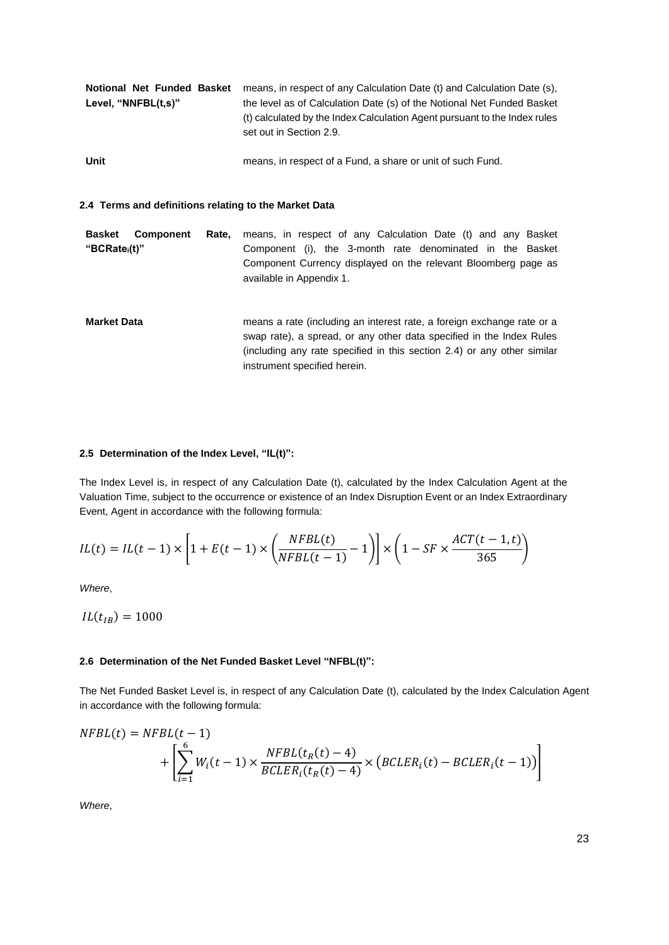| Notional Net Funded Basket | means, in respect of any Calculation Date (t) and Calculation Date (s),<br>the level as of Calculation Date (s) of the Notional Net Funded Basket |  |  |
|----------------------------|---------------------------------------------------------------------------------------------------------------------------------------------------|--|--|
| Level, "NNFBL(t,s)"        |                                                                                                                                                   |  |  |
|                            | (t) calculated by the Index Calculation Agent pursuant to the Index rules<br>set out in Section 2.9.                                              |  |  |
| Unit                       | means, in respect of a Fund, a share or unit of such Fund.                                                                                        |  |  |

#### **2.4 Terms and definitions relating to the Market Data**

**Basket Component "BCRatei(t)"** Rate, means, in respect of any Calculation Date (t) and any Basket Component (i), the 3-month rate denominated in the Basket Component Currency displayed on the relevant Bloomberg page as available in Appendix 1.

**Market Data means a rate (including an interest rate, a foreign exchange rate or a** swap rate), a spread, or any other data specified in the Index Rules (including any rate specified in this section 2.4) or any other similar instrument specified herein.

#### **2.5 Determination of the Index Level, "IL(t)":**

The Index Level is, in respect of any Calculation Date (t), calculated by the Index Calculation Agent at the Valuation Time, subject to the occurrence or existence of an Index Disruption Event or an Index Extraordinary Event, Agent in accordance with the following formula:

$$
IL(t) = IL(t-1) \times \left[1 + E(t-1) \times \left(\frac{NFBL(t)}{NFBL(t-1)} - 1\right)\right] \times \left(1 - SF \times \frac{ACT(t-1, t)}{365}\right)
$$

*Where*,

 $IL(t_{IB}) = 1000$ 

#### **2.6 Determination of the Net Funded Basket Level "NFBL(t)":**

The Net Funded Basket Level is, in respect of any Calculation Date (t), calculated by the Index Calculation Agent in accordance with the following formula:

$$
NFBL(t) = NFBL(t-1)
$$
  
+ 
$$
\left[ \sum_{i=1}^{6} W_i(t-1) \times \frac{NFBL(t_R(t) - 4)}{BCLER_i(t_R(t) - 4)} \times (BCLER_i(t) - BCLER_i(t-1)) \right]
$$

*Where*,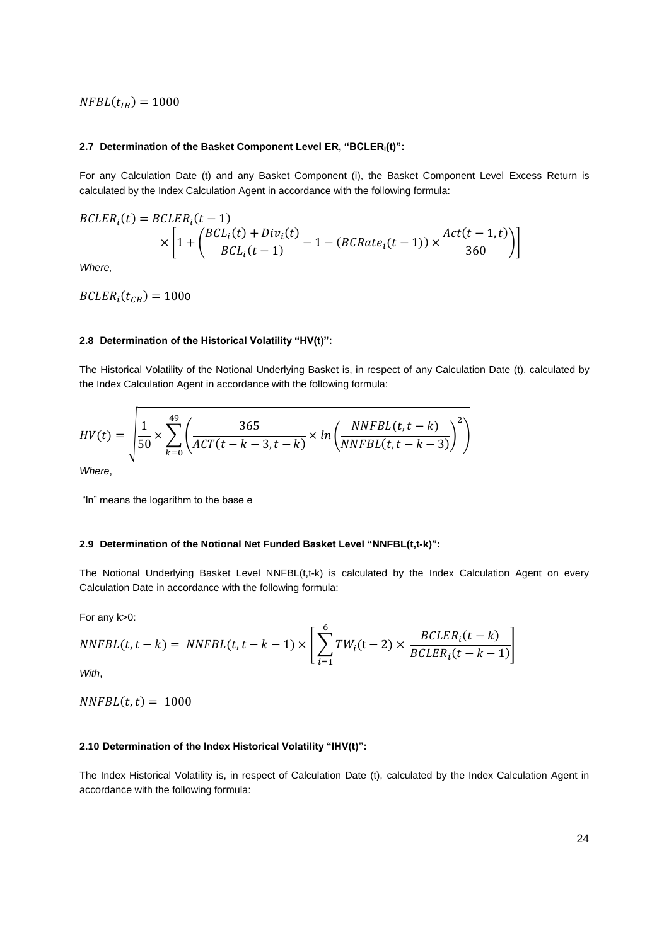$NFBL(t_{IB}) = 1000$ 

#### **2.7 Determination of the Basket Component Level ER, "BCLERi(t)":**

For any Calculation Date (t) and any Basket Component (i), the Basket Component Level Excess Return is calculated by the Index Calculation Agent in accordance with the following formula:

$$
BCLER_i(t) = BCLER_i(t-1)
$$
  
 
$$
\times \left[1 + \left(\frac{BCL_i(t) + Div_i(t)}{BCL_i(t-1)} - 1 - (BCRate_i(t-1)) \times \frac{Act(t-1,t)}{360}\right)\right]
$$

*Where,*

 $BCLER_i(t_{CB}) = 1000$ 

#### **2.8 Determination of the Historical Volatility "HV(t)":**

The Historical Volatility of the Notional Underlying Basket is, in respect of any Calculation Date (t), calculated by the Index Calculation Agent in accordance with the following formula:

$$
HV(t) = \sqrt{\frac{1}{50} \times \sum_{k=0}^{49} \left( \frac{365}{ACT(t-k-3,t-k)} \times ln \left( \frac{NNFBL(t,t-k)}{NNFBL(t,t-k-3)} \right)^2 \right)}
$$

*Where*,

"ln" means the logarithm to the base e

#### **2.9 Determination of the Notional Net Funded Basket Level "NNFBL(t,t-k)":**

The Notional Underlying Basket Level NNFBL(t,t-k) is calculated by the Index Calculation Agent on every Calculation Date in accordance with the following formula:

For any k>0:

$$
NNFBL(t, t - k) = NNFBL(t, t - k - 1) \times \left[ \sum_{i=1}^{6} TW_i(t - 2) \times \frac{BCLER_i(t - k)}{BCLER_i(t - k - 1)} \right]
$$

*With*,

 $NNFBL(t, t) = 1000$ 

#### **2.10 Determination of the Index Historical Volatility "IHV(t)":**

The Index Historical Volatility is, in respect of Calculation Date (t), calculated by the Index Calculation Agent in accordance with the following formula: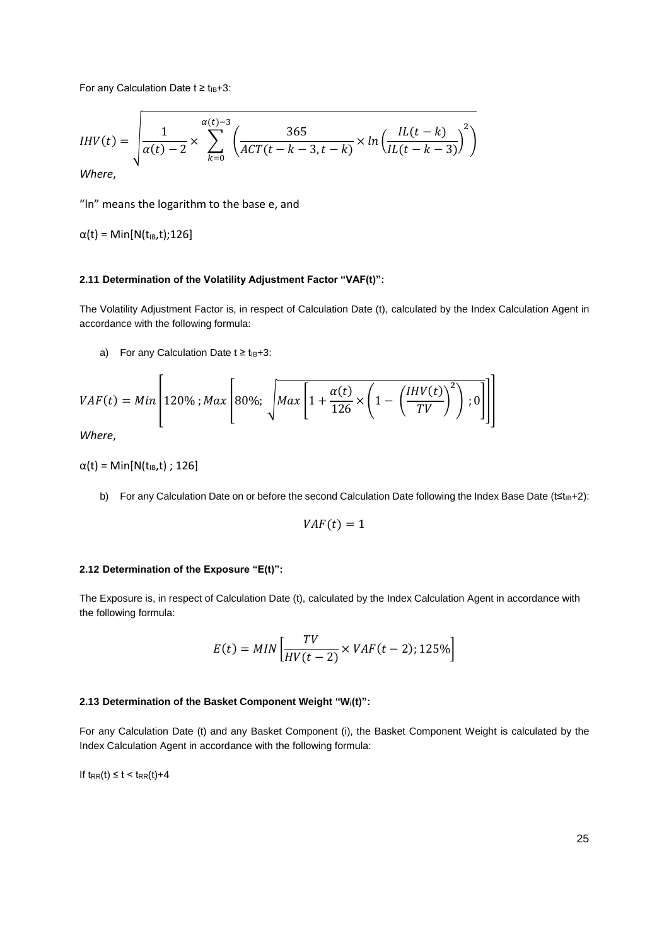For any Calculation Date  $t \ge t_{IB}+3$ :

$$
IHV(t) = \sqrt{\frac{1}{\alpha(t) - 2} \times \sum_{k=0}^{\alpha(t) - 3} \left( \frac{365}{ACT(t - k - 3, t - k)} \times \ln \left( \frac{IL(t - k)}{IL(t - k - 3)} \right)^2 \right)}
$$

*Where*,

"ln" means the logarithm to the base e, and

 $α(t) = Min[N(t_{IB},t);126]$ 

## **2.11 Determination of the Volatility Adjustment Factor "VAF(t)":**

The Volatility Adjustment Factor is, in respect of Calculation Date (t), calculated by the Index Calculation Agent in accordance with the following formula:

a) For any Calculation Date  $t \ge t_{IB}+3$ :

$$
VAF(t) = Min \left[ 120\% ; Max \left[ 80\%; \sqrt{Max \left[ 1 + \frac{\alpha(t)}{126} \times \left( 1 - \left( \frac{IHV(t)}{TV} \right)^2 \right); 0 \right]} \right] \right]
$$

*Where*,

 $\alpha(t) = \text{Min}[\text{N}(t_{IB}, t) ; 126]$ 

b) For any Calculation Date on or before the second Calculation Date following the Index Base Date (t≤t<sub>IB+2</sub>):

$$
VAF(t)=1
$$

## **2.12 Determination of the Exposure "E(t)":**

The Exposure is, in respect of Calculation Date (t), calculated by the Index Calculation Agent in accordance with the following formula:

$$
E(t) = MIN\left[\frac{TV}{HV(t-2)} \times VAF(t-2); 125\% \right]
$$

#### **2.13 Determination of the Basket Component Weight "Wi(t)":**

For any Calculation Date (t) and any Basket Component (i), the Basket Component Weight is calculated by the Index Calculation Agent in accordance with the following formula:

If  $t_{RR}(t) \leq t < t_{RR}(t)+4$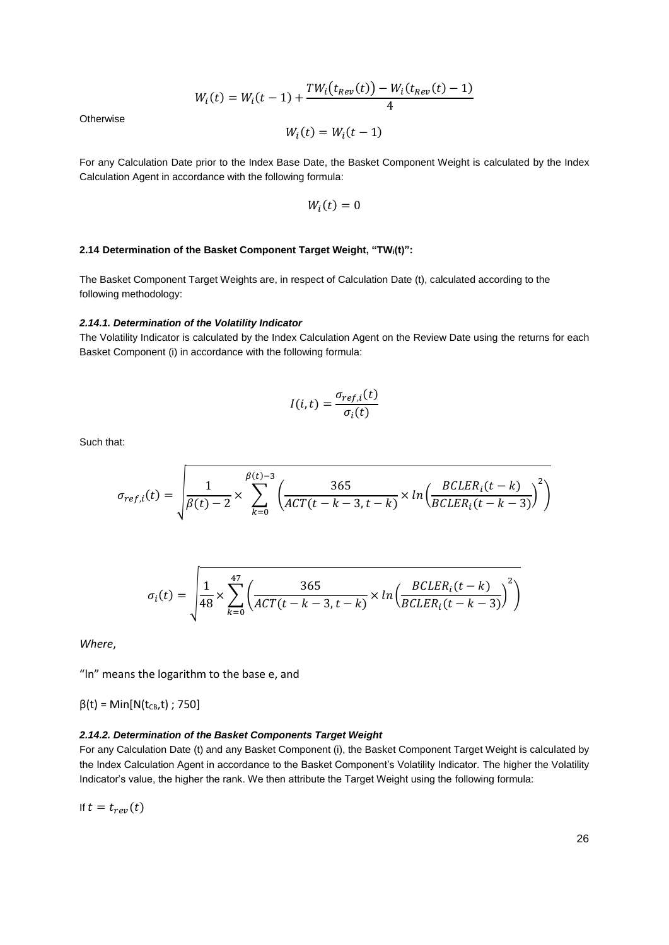$$
W_i(t) = W_i(t-1) + \frac{TW_i(t_{Rev}(t)) - W_i(t_{Rev}(t) - 1)}{4}
$$

**Otherwise** 

$$
W_i(t) = W_i(t-1)
$$

For any Calculation Date prior to the Index Base Date, the Basket Component Weight is calculated by the Index Calculation Agent in accordance with the following formula:

$$
W_i(t)=0
$$

## **2.14 Determination of the Basket Component Target Weight, "TWi(t)":**

The Basket Component Target Weights are, in respect of Calculation Date (t), calculated according to the following methodology:

#### *2.14.1. Determination of the Volatility Indicator*

The Volatility Indicator is calculated by the Index Calculation Agent on the Review Date using the returns for each Basket Component (i) in accordance with the following formula:

$$
I(i,t) = \frac{\sigma_{ref,i}(t)}{\sigma_i(t)}
$$

Such that:

$$
\sigma_{ref,i}(t) = \sqrt{\frac{1}{\beta(t) - 2} \times \sum_{k=0}^{\beta(t) - 3} \left( \frac{365}{ACT(t - k - 3, t - k)} \times \ln \left( \frac{BCLER_i(t - k)}{BCLER_i(t - k - 3)} \right)^2} \right)}
$$

$$
\sigma_i(t) = \sqrt{\frac{1}{48} \times \sum_{k=0}^{47} \left( \frac{365}{ACT(t-k-3,t-k)} \times \ln \left( \frac{BCLER_i(t-k)}{BCLER_i(t-k-3)} \right)^2 \right)}
$$

*Where*,

"ln" means the logarithm to the base e, and

 $β(t) = Min[N(t_{CB}, t) ; 750]$ 

#### *2.14.2. Determination of the Basket Components Target Weight*

For any Calculation Date (t) and any Basket Component (i), the Basket Component Target Weight is calculated by the Index Calculation Agent in accordance to the Basket Component's Volatility Indicator. The higher the Volatility Indicator's value, the higher the rank. We then attribute the Target Weight using the following formula:

If  $t = t_{ren}(t)$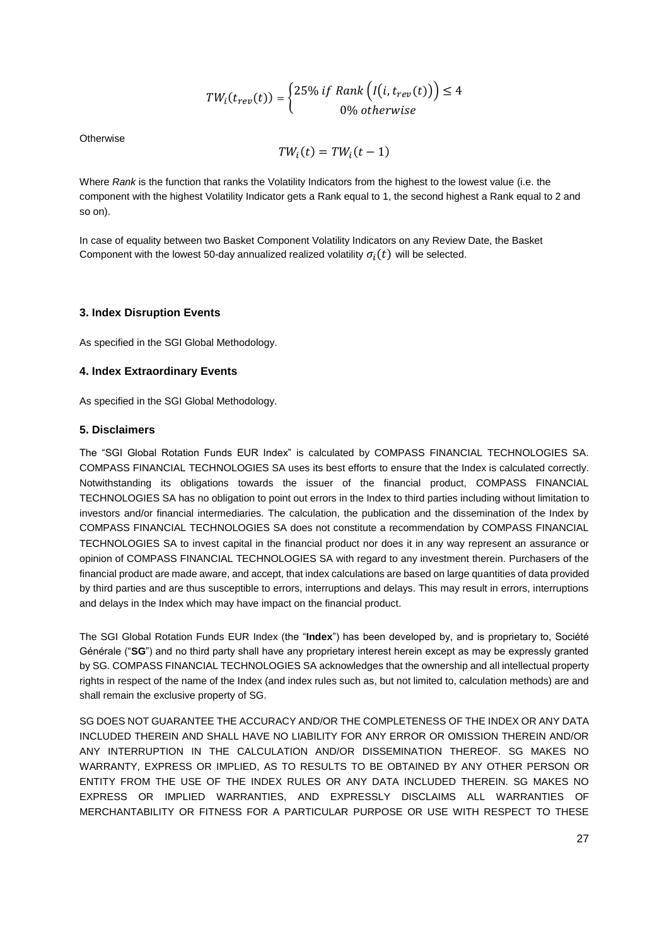$$
TW_i(t_{rev}(t)) = \begin{cases} 25\% \ if \ Rank\left(I(i, t_{rev}(t))\right) \le 4\\ 0\% \ otherwise \end{cases}
$$

**Otherwise** 

$$
TW_i(t) = TW_i(t-1)
$$

Where *Rank* is the function that ranks the Volatility Indicators from the highest to the lowest value (i.e. the component with the highest Volatility Indicator gets a Rank equal to 1, the second highest a Rank equal to 2 and so on).

In case of equality between two Basket Component Volatility Indicators on any Review Date, the Basket Component with the lowest 50-day annualized realized volatility  $\sigma_i(t)$  will be selected.

## **3. Index Disruption Events**

As specified in the SGI Global Methodology.

#### **4. Index Extraordinary Events**

As specified in the SGI Global Methodology.

# **5. Disclaimers**

The "SGI Global Rotation Funds EUR Index" is calculated by COMPASS FINANCIAL TECHNOLOGIES SA. COMPASS FINANCIAL TECHNOLOGIES SA uses its best efforts to ensure that the Index is calculated correctly. Notwithstanding its obligations towards the issuer of the financial product, COMPASS FINANCIAL TECHNOLOGIES SA has no obligation to point out errors in the Index to third parties including without limitation to investors and/or financial intermediaries. The calculation, the publication and the dissemination of the Index by COMPASS FINANCIAL TECHNOLOGIES SA does not constitute a recommendation by COMPASS FINANCIAL TECHNOLOGIES SA to invest capital in the financial product nor does it in any way represent an assurance or opinion of COMPASS FINANCIAL TECHNOLOGIES SA with regard to any investment therein. Purchasers of the financial product are made aware, and accept, that index calculations are based on large quantities of data provided by third parties and are thus susceptible to errors, interruptions and delays. This may result in errors, interruptions and delays in the Index which may have impact on the financial product.

The SGI Global Rotation Funds EUR Index (the "**Index**") has been developed by, and is proprietary to, Société Générale ("**SG**") and no third party shall have any proprietary interest herein except as may be expressly granted by SG. COMPASS FINANCIAL TECHNOLOGIES SA acknowledges that the ownership and all intellectual property rights in respect of the name of the Index (and index rules such as, but not limited to, calculation methods) are and shall remain the exclusive property of SG.

SG DOES NOT GUARANTEE THE ACCURACY AND/OR THE COMPLETENESS OF THE INDEX OR ANY DATA INCLUDED THEREIN AND SHALL HAVE NO LIABILITY FOR ANY ERROR OR OMISSION THEREIN AND/OR ANY INTERRUPTION IN THE CALCULATION AND/OR DISSEMINATION THEREOF. SG MAKES NO WARRANTY, EXPRESS OR IMPLIED, AS TO RESULTS TO BE OBTAINED BY ANY OTHER PERSON OR ENTITY FROM THE USE OF THE INDEX RULES OR ANY DATA INCLUDED THEREIN. SG MAKES NO EXPRESS OR IMPLIED WARRANTIES, AND EXPRESSLY DISCLAIMS ALL WARRANTIES OF MERCHANTABILITY OR FITNESS FOR A PARTICULAR PURPOSE OR USE WITH RESPECT TO THESE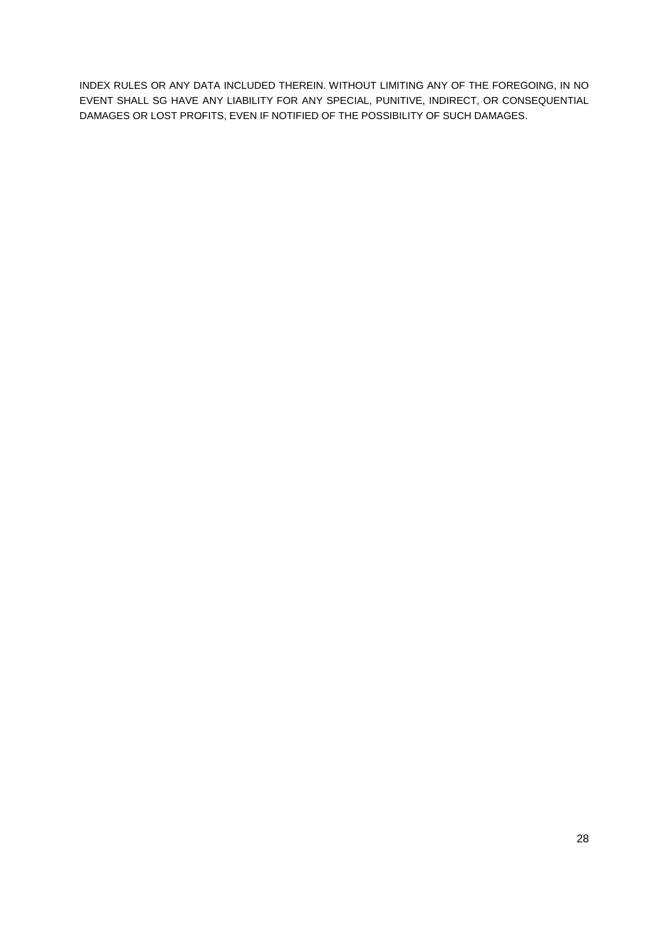INDEX RULES OR ANY DATA INCLUDED THEREIN. WITHOUT LIMITING ANY OF THE FOREGOING, IN NO EVENT SHALL SG HAVE ANY LIABILITY FOR ANY SPECIAL, PUNITIVE, INDIRECT, OR CONSEQUENTIAL DAMAGES OR LOST PROFITS, EVEN IF NOTIFIED OF THE POSSIBILITY OF SUCH DAMAGES.